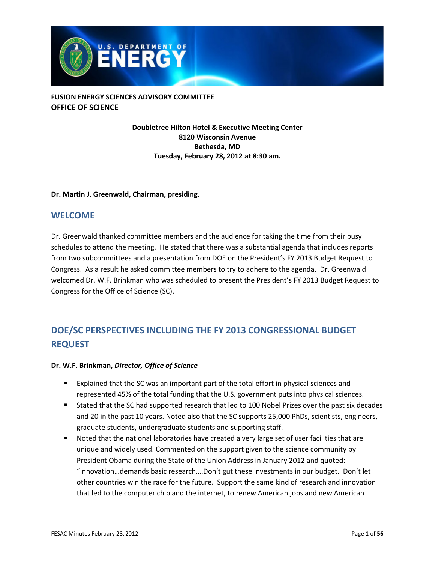

**Doubletree Hilton Hotel & Executive Meeting Center 8120 Wisconsin Avenue Bethesda, MD Tuesday, February 28, 2012 at 8:30 am.**

#### **Dr. Martin J. Greenwald, Chairman, presiding.**

#### <span id="page-0-0"></span>**WELCOME**

Dr. Greenwald thanked committee members and the audience for taking the time from their busy schedules to attend the meeting. He stated that there was a substantial agenda that includes reports from two subcommittees and a presentation from DOE on the President's FY 2013 Budget Request to Congress. As a result he asked committee members to try to adhere to the agenda. Dr. Greenwald welcomed Dr. W.F. Brinkman who was scheduled to present the President's FY 2013 Budget Request to Congress for the Office of Science (SC).

# <span id="page-0-1"></span>**DOE/SC PERSPECTIVES INCLUDING THE FY 2013 CONGRESSIONAL BUDGET REQUEST**

#### **Dr. W.F. Brinkman,** *Director, Office of Science*

- Explained that the SC was an important part of the total effort in physical sciences and represented 45% of the total funding that the U.S. government puts into physical sciences.
- Stated that the SC had supported research that led to 100 Nobel Prizes over the past six decades and 20 in the past 10 years. Noted also that the SC supports 25,000 PhDs, scientists, engineers, graduate students, undergraduate students and supporting staff.
- Noted that the national laboratories have created a very large set of user facilities that are unique and widely used. Commented on the support given to the science community by President Obama during the State of the Union Address in January 2012 and quoted: "Innovation…demands basic research….Don't gut these investments in our budget. Don't let other countries win the race for the future. Support the same kind of research and innovation that led to the computer chip and the internet, to renew American jobs and new American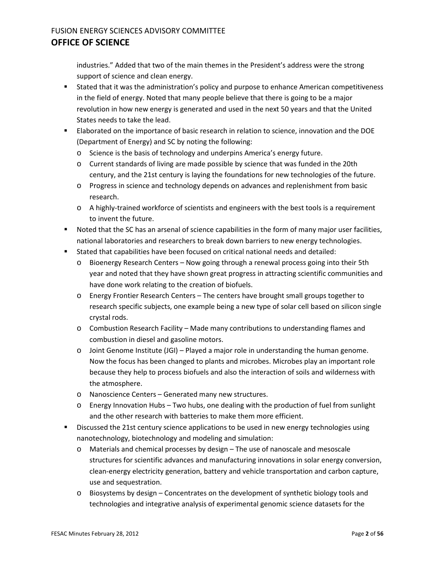industries." Added that two of the main themes in the President's address were the strong support of science and clean energy.

- Stated that it was the administration's policy and purpose to enhance American competitiveness in the field of energy. Noted that many people believe that there is going to be a major revolution in how new energy is generated and used in the next 50 years and that the United States needs to take the lead.
- Elaborated on the importance of basic research in relation to science, innovation and the DOE (Department of Energy) and SC by noting the following:
	- o Science is the basis of technology and underpins America's energy future.
	- o Current standards of living are made possible by science that was funded in the 20th century, and the 21st century is laying the foundations for new technologies of the future.
	- o Progress in science and technology depends on advances and replenishment from basic research.
	- o A highly-trained workforce of scientists and engineers with the best tools is a requirement to invent the future.
- Noted that the SC has an arsenal of science capabilities in the form of many major user facilities, national laboratories and researchers to break down barriers to new energy technologies.
- Stated that capabilities have been focused on critical national needs and detailed:
	- o Bioenergy Research Centers Now going through a renewal process going into their 5th year and noted that they have shown great progress in attracting scientific communities and have done work relating to the creation of biofuels.
	- o Energy Frontier Research Centers The centers have brought small groups together to research specific subjects, one example being a new type of solar cell based on silicon single crystal rods.
	- o Combustion Research Facility Made many contributions to understanding flames and combustion in diesel and gasoline motors.
	- $\circ$  Joint Genome Institute (JGI) Played a major role in understanding the human genome. Now the focus has been changed to plants and microbes. Microbes play an important role because they help to process biofuels and also the interaction of soils and wilderness with the atmosphere.
	- o Nanoscience Centers Generated many new structures.
	- o Energy Innovation Hubs Two hubs, one dealing with the production of fuel from sunlight and the other research with batteries to make them more efficient.
- Discussed the 21st century science applications to be used in new energy technologies using nanotechnology, biotechnology and modeling and simulation:
	- o Materials and chemical processes by design The use of nanoscale and mesoscale structures for scientific advances and manufacturing innovations in solar energy conversion, clean-energy electricity generation, battery and vehicle transportation and carbon capture, use and sequestration.
	- $\circ$  Biosystems by design Concentrates on the development of synthetic biology tools and technologies and integrative analysis of experimental genomic science datasets for the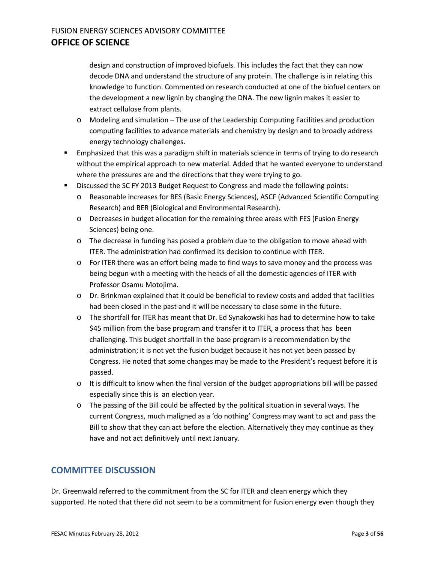design and construction of improved biofuels. This includes the fact that they can now decode DNA and understand the structure of any protein. The challenge is in relating this knowledge to function. Commented on research conducted at one of the biofuel centers on the development a new lignin by changing the DNA. The new lignin makes it easier to extract cellulose from plants.

- $\circ$  Modeling and simulation The use of the Leadership Computing Facilities and production computing facilities to advance materials and chemistry by design and to broadly address energy technology challenges.
- **Emphasized that this was a paradigm shift in materials science in terms of trying to do research** without the empirical approach to new material. Added that he wanted everyone to understand where the pressures are and the directions that they were trying to go.
- **Discussed the SC FY 2013 Budget Request to Congress and made the following points:** 
	- o Reasonable increases for BES (Basic Energy Sciences), ASCF (Advanced Scientific Computing Research) and BER (Biological and Environmental Research).
	- o Decreases in budget allocation for the remaining three areas with FES (Fusion Energy Sciences) being one.
	- o The decrease in funding has posed a problem due to the obligation to move ahead with ITER. The administration had confirmed its decision to continue with ITER.
	- o For ITER there was an effort being made to find ways to save money and the process was being begun with a meeting with the heads of all the domestic agencies of ITER with Professor Osamu Motojima.
	- o Dr. Brinkman explained that it could be beneficial to review costs and added that facilities had been closed in the past and it will be necessary to close some in the future.
	- o The shortfall for ITER has meant that Dr. Ed Synakowski has had to determine how to take \$45 million from the base program and transfer it to ITER, a process that has been challenging. This budget shortfall in the base program is a recommendation by the administration; it is not yet the fusion budget because it has not yet been passed by Congress. He noted that some changes may be made to the President's request before it is passed.
	- $\circ$  It is difficult to know when the final version of the budget appropriations bill will be passed especially since this is an election year.
	- o The passing of the Bill could be affected by the political situation in several ways. The current Congress, much maligned as a 'do nothing' Congress may want to act and pass the Bill to show that they can act before the election. Alternatively they may continue as they have and not act definitively until next January.

#### **COMMITTEE DISCUSSION**

Dr. Greenwald referred to the commitment from the SC for ITER and clean energy which they supported. He noted that there did not seem to be a commitment for fusion energy even though they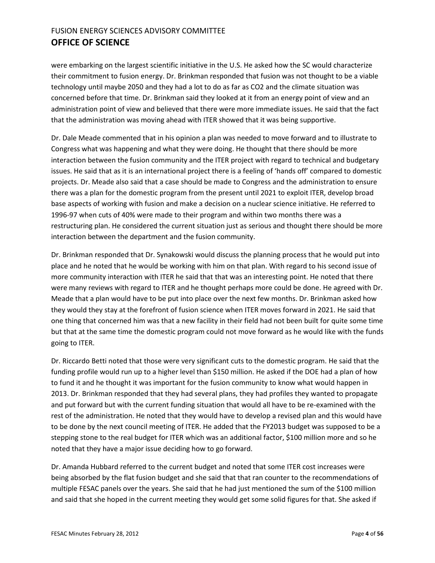were embarking on the largest scientific initiative in the U.S. He asked how the SC would characterize their commitment to fusion energy. Dr. Brinkman responded that fusion was not thought to be a viable technology until maybe 2050 and they had a lot to do as far as CO2 and the climate situation was concerned before that time. Dr. Brinkman said they looked at it from an energy point of view and an administration point of view and believed that there were more immediate issues. He said that the fact that the administration was moving ahead with ITER showed that it was being supportive.

Dr. Dale Meade commented that in his opinion a plan was needed to move forward and to illustrate to Congress what was happening and what they were doing. He thought that there should be more interaction between the fusion community and the ITER project with regard to technical and budgetary issues. He said that as it is an international project there is a feeling of 'hands off' compared to domestic projects. Dr. Meade also said that a case should be made to Congress and the administration to ensure there was a plan for the domestic program from the present until 2021 to exploit ITER, develop broad base aspects of working with fusion and make a decision on a nuclear science initiative. He referred to 1996-97 when cuts of 40% were made to their program and within two months there was a restructuring plan. He considered the current situation just as serious and thought there should be more interaction between the department and the fusion community.

Dr. Brinkman responded that Dr. Synakowski would discuss the planning process that he would put into place and he noted that he would be working with him on that plan. With regard to his second issue of more community interaction with ITER he said that that was an interesting point. He noted that there were many reviews with regard to ITER and he thought perhaps more could be done. He agreed with Dr. Meade that a plan would have to be put into place over the next few months. Dr. Brinkman asked how they would they stay at the forefront of fusion science when ITER moves forward in 2021. He said that one thing that concerned him was that a new facility in their field had not been built for quite some time but that at the same time the domestic program could not move forward as he would like with the funds going to ITER.

Dr. Riccardo Betti noted that those were very significant cuts to the domestic program. He said that the funding profile would run up to a higher level than \$150 million. He asked if the DOE had a plan of how to fund it and he thought it was important for the fusion community to know what would happen in 2013. Dr. Brinkman responded that they had several plans, they had profiles they wanted to propagate and put forward but with the current funding situation that would all have to be re-examined with the rest of the administration. He noted that they would have to develop a revised plan and this would have to be done by the next council meeting of ITER. He added that the FY2013 budget was supposed to be a stepping stone to the real budget for ITER which was an additional factor, \$100 million more and so he noted that they have a major issue deciding how to go forward.

Dr. Amanda Hubbard referred to the current budget and noted that some ITER cost increases were being absorbed by the flat fusion budget and she said that that ran counter to the recommendations of multiple FESAC panels over the years. She said that he had just mentioned the sum of the \$100 million and said that she hoped in the current meeting they would get some solid figures for that. She asked if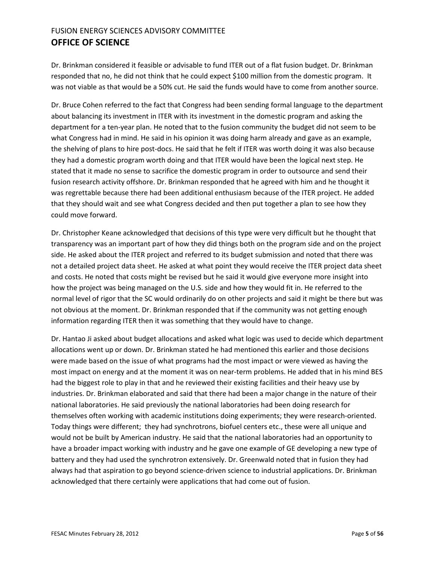Dr. Brinkman considered it feasible or advisable to fund ITER out of a flat fusion budget. Dr. Brinkman responded that no, he did not think that he could expect \$100 million from the domestic program. It was not viable as that would be a 50% cut. He said the funds would have to come from another source.

Dr. Bruce Cohen referred to the fact that Congress had been sending formal language to the department about balancing its investment in ITER with its investment in the domestic program and asking the department for a ten-year plan. He noted that to the fusion community the budget did not seem to be what Congress had in mind. He said in his opinion it was doing harm already and gave as an example, the shelving of plans to hire post-docs. He said that he felt if ITER was worth doing it was also because they had a domestic program worth doing and that ITER would have been the logical next step. He stated that it made no sense to sacrifice the domestic program in order to outsource and send their fusion research activity offshore. Dr. Brinkman responded that he agreed with him and he thought it was regrettable because there had been additional enthusiasm because of the ITER project. He added that they should wait and see what Congress decided and then put together a plan to see how they could move forward.

Dr. Christopher Keane acknowledged that decisions of this type were very difficult but he thought that transparency was an important part of how they did things both on the program side and on the project side. He asked about the ITER project and referred to its budget submission and noted that there was not a detailed project data sheet. He asked at what point they would receive the ITER project data sheet and costs. He noted that costs might be revised but he said it would give everyone more insight into how the project was being managed on the U.S. side and how they would fit in. He referred to the normal level of rigor that the SC would ordinarily do on other projects and said it might be there but was not obvious at the moment. Dr. Brinkman responded that if the community was not getting enough information regarding ITER then it was something that they would have to change.

Dr. Hantao Ji asked about budget allocations and asked what logic was used to decide which department allocations went up or down. Dr. Brinkman stated he had mentioned this earlier and those decisions were made based on the issue of what programs had the most impact or were viewed as having the most impact on energy and at the moment it was on near-term problems. He added that in his mind BES had the biggest role to play in that and he reviewed their existing facilities and their heavy use by industries. Dr. Brinkman elaborated and said that there had been a major change in the nature of their national laboratories. He said previously the national laboratories had been doing research for themselves often working with academic institutions doing experiments; they were research-oriented. Today things were different; they had synchrotrons, biofuel centers etc., these were all unique and would not be built by American industry. He said that the national laboratories had an opportunity to have a broader impact working with industry and he gave one example of GE developing a new type of battery and they had used the synchrotron extensively. Dr. Greenwald noted that in fusion they had always had that aspiration to go beyond science-driven science to industrial applications. Dr. Brinkman acknowledged that there certainly were applications that had come out of fusion.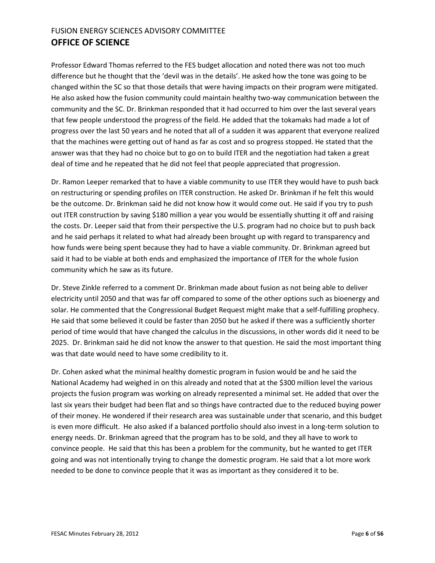Professor Edward Thomas referred to the FES budget allocation and noted there was not too much difference but he thought that the 'devil was in the details'. He asked how the tone was going to be changed within the SC so that those details that were having impacts on their program were mitigated. He also asked how the fusion community could maintain healthy two-way communication between the community and the SC. Dr. Brinkman responded that it had occurred to him over the last several years that few people understood the progress of the field. He added that the tokamaks had made a lot of progress over the last 50 years and he noted that all of a sudden it was apparent that everyone realized that the machines were getting out of hand as far as cost and so progress stopped. He stated that the answer was that they had no choice but to go on to build ITER and the negotiation had taken a great deal of time and he repeated that he did not feel that people appreciated that progression.

Dr. Ramon Leeper remarked that to have a viable community to use ITER they would have to push back on restructuring or spending profiles on ITER construction. He asked Dr. Brinkman if he felt this would be the outcome. Dr. Brinkman said he did not know how it would come out. He said if you try to push out ITER construction by saving \$180 million a year you would be essentially shutting it off and raising the costs. Dr. Leeper said that from their perspective the U.S. program had no choice but to push back and he said perhaps it related to what had already been brought up with regard to transparency and how funds were being spent because they had to have a viable community. Dr. Brinkman agreed but said it had to be viable at both ends and emphasized the importance of ITER for the whole fusion community which he saw as its future.

Dr. Steve Zinkle referred to a comment Dr. Brinkman made about fusion as not being able to deliver electricity until 2050 and that was far off compared to some of the other options such as bioenergy and solar. He commented that the Congressional Budget Request might make that a self-fulfilling prophecy. He said that some believed it could be faster than 2050 but he asked if there was a sufficiently shorter period of time would that have changed the calculus in the discussions, in other words did it need to be 2025. Dr. Brinkman said he did not know the answer to that question. He said the most important thing was that date would need to have some credibility to it.

Dr. Cohen asked what the minimal healthy domestic program in fusion would be and he said the National Academy had weighed in on this already and noted that at the \$300 million level the various projects the fusion program was working on already represented a minimal set. He added that over the last six years their budget had been flat and so things have contracted due to the reduced buying power of their money. He wondered if their research area was sustainable under that scenario, and this budget is even more difficult. He also asked if a balanced portfolio should also invest in a long-term solution to energy needs. Dr. Brinkman agreed that the program has to be sold, and they all have to work to convince people. He said that this has been a problem for the community, but he wanted to get ITER going and was not intentionally trying to change the domestic program. He said that a lot more work needed to be done to convince people that it was as important as they considered it to be.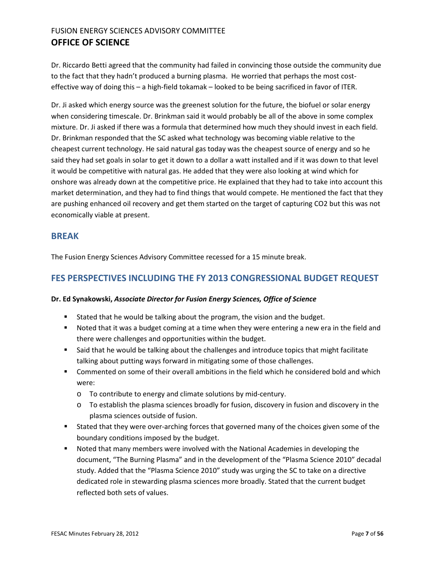Dr. Riccardo Betti agreed that the community had failed in convincing those outside the community due to the fact that they hadn't produced a burning plasma. He worried that perhaps the most costeffective way of doing this – a high-field tokamak – looked to be being sacrificed in favor of ITER.

Dr. Ji asked which energy source was the greenest solution for the future, the biofuel or solar energy when considering timescale. Dr. Brinkman said it would probably be all of the above in some complex mixture. Dr. Ji asked if there was a formula that determined how much they should invest in each field. Dr. Brinkman responded that the SC asked what technology was becoming viable relative to the cheapest current technology. He said natural gas today was the cheapest source of energy and so he said they had set goals in solar to get it down to a dollar a watt installed and if it was down to that level it would be competitive with natural gas. He added that they were also looking at wind which for onshore was already down at the competitive price. He explained that they had to take into account this market determination, and they had to find things that would compete. He mentioned the fact that they are pushing enhanced oil recovery and get them started on the target of capturing CO2 but this was not economically viable at present.

#### <span id="page-6-0"></span>**BREAK**

The Fusion Energy Sciences Advisory Committee recessed for a 15 minute break.

#### <span id="page-6-1"></span>**FES PERSPECTIVES INCLUDING THE FY 2013 CONGRESSIONAL BUDGET REQUEST**

#### **Dr. Ed Synakowski,** *Associate Director for Fusion Energy Sciences, Office of Science*

- **Stated that he would be talking about the program, the vision and the budget.**
- Noted that it was a budget coming at a time when they were entering a new era in the field and there were challenges and opportunities within the budget.
- **Said that he would be talking about the challenges and introduce topics that might facilitate** talking about putting ways forward in mitigating some of those challenges.
- Commented on some of their overall ambitions in the field which he considered bold and which were:
	- o To contribute to energy and climate solutions by mid-century.
	- o To establish the plasma sciences broadly for fusion, discovery in fusion and discovery in the plasma sciences outside of fusion.
- Stated that they were over-arching forces that governed many of the choices given some of the boundary conditions imposed by the budget.
- Noted that many members were involved with the National Academies in developing the document, "The Burning Plasma" and in the development of the "Plasma Science 2010" decadal study. Added that the "Plasma Science 2010" study was urging the SC to take on a directive dedicated role in stewarding plasma sciences more broadly. Stated that the current budget reflected both sets of values.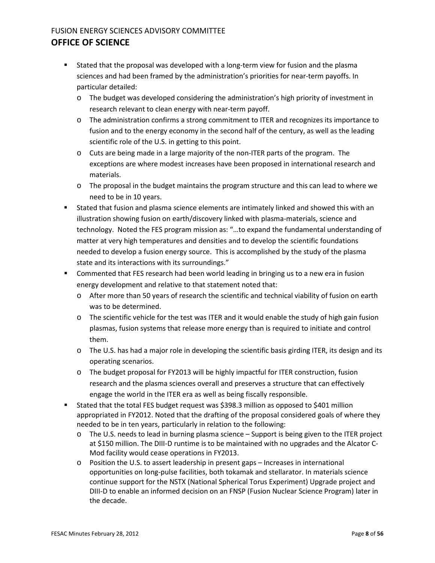- **Stated that the proposal was developed with a long-term view for fusion and the plasma** sciences and had been framed by the administration's priorities for near-term payoffs. In particular detailed:
	- o The budget was developed considering the administration's high priority of investment in research relevant to clean energy with near-term payoff.
	- o The administration confirms a strong commitment to ITER and recognizes its importance to fusion and to the energy economy in the second half of the century, as well as the leading scientific role of the U.S. in getting to this point.
	- $\circ$  Cuts are being made in a large majority of the non-ITER parts of the program. The exceptions are where modest increases have been proposed in international research and materials.
	- $\circ$  The proposal in the budget maintains the program structure and this can lead to where we need to be in 10 years.
- Stated that fusion and plasma science elements are intimately linked and showed this with an illustration showing fusion on earth/discovery linked with plasma-materials, science and technology. Noted the FES program mission as: "…to expand the fundamental understanding of matter at very high temperatures and densities and to develop the scientific foundations needed to develop a fusion energy source. This is accomplished by the study of the plasma state and its interactions with its surroundings."
- **EX Commented that FES research had been world leading in bringing us to a new era in fusion** energy development and relative to that statement noted that:
	- o After more than 50 years of research the scientific and technical viability of fusion on earth was to be determined.
	- $\circ$  The scientific vehicle for the test was ITER and it would enable the study of high gain fusion plasmas, fusion systems that release more energy than is required to initiate and control them.
	- o The U.S. has had a major role in developing the scientific basis girding ITER, its design and its operating scenarios.
	- o The budget proposal for FY2013 will be highly impactful for ITER construction, fusion research and the plasma sciences overall and preserves a structure that can effectively engage the world in the ITER era as well as being fiscally responsible.
- Stated that the total FES budget request was \$398.3 million as opposed to \$401 million appropriated in FY2012. Noted that the drafting of the proposal considered goals of where they needed to be in ten years, particularly in relation to the following:
	- o The U.S. needs to lead in burning plasma science Support is being given to the ITER project at \$150 million. The DIII-D runtime is to be maintained with no upgrades and the Alcator C-Mod facility would cease operations in FY2013.
	- o Position the U.S. to assert leadership in present gaps Increases in international opportunities on long-pulse facilities, both tokamak and stellarator. In materials science continue support for the NSTX (National Spherical Torus Experiment) Upgrade project and DIII-D to enable an informed decision on an FNSP (Fusion Nuclear Science Program) later in the decade.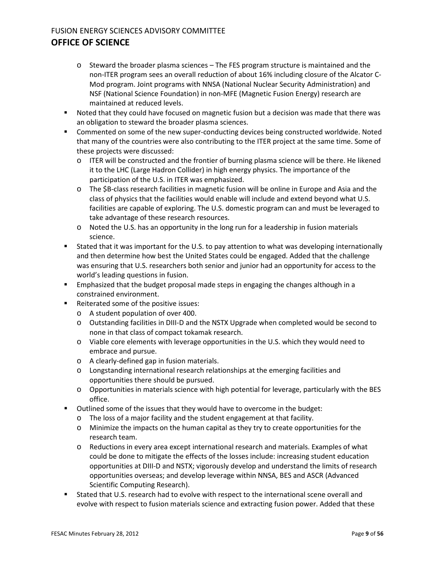- $\circ$  Steward the broader plasma sciences The FES program structure is maintained and the non-ITER program sees an overall reduction of about 16% including closure of the Alcator C-Mod program. Joint programs with NNSA (National Nuclear Security Administration) and NSF (National Science Foundation) in non-MFE (Magnetic Fusion Energy) research are maintained at reduced levels.
- Noted that they could have focused on magnetic fusion but a decision was made that there was an obligation to steward the broader plasma sciences.
- **Commented on some of the new super-conducting devices being constructed worldwide. Noted** that many of the countries were also contributing to the ITER project at the same time. Some of these projects were discussed:
	- o ITER will be constructed and the frontier of burning plasma science will be there. He likened it to the LHC (Large Hadron Collider) in high energy physics. The importance of the participation of the U.S. in ITER was emphasized.
	- o The \$B-class research facilities in magnetic fusion will be online in Europe and Asia and the class of physics that the facilities would enable will include and extend beyond what U.S. facilities are capable of exploring. The U.S. domestic program can and must be leveraged to take advantage of these research resources.
	- o Noted the U.S. has an opportunity in the long run for a leadership in fusion materials science.
- Stated that it was important for the U.S. to pay attention to what was developing internationally and then determine how best the United States could be engaged. Added that the challenge was ensuring that U.S. researchers both senior and junior had an opportunity for access to the world's leading questions in fusion.
- **Emphasized that the budget proposal made steps in engaging the changes although in a** constrained environment.
- Reiterated some of the positive issues:
	- o A student population of over 400.
	- o Outstanding facilities in DIII-D and the NSTX Upgrade when completed would be second to none in that class of compact tokamak research.
	- o Viable core elements with leverage opportunities in the U.S. which they would need to embrace and pursue.
	- o A clearly-defined gap in fusion materials.
	- o Longstanding international research relationships at the emerging facilities and opportunities there should be pursued.
	- o Opportunities in materials science with high potential for leverage, particularly with the BES office.
- Outlined some of the issues that they would have to overcome in the budget:
	- o The loss of a major facility and the student engagement at that facility.
	- o Minimize the impacts on the human capital as they try to create opportunities for the research team.
	- o Reductions in every area except international research and materials. Examples of what could be done to mitigate the effects of the losses include: increasing student education opportunities at DIII-D and NSTX; vigorously develop and understand the limits of research opportunities overseas; and develop leverage within NNSA, BES and ASCR (Advanced Scientific Computing Research).
- Stated that U.S. research had to evolve with respect to the international scene overall and evolve with respect to fusion materials science and extracting fusion power. Added that these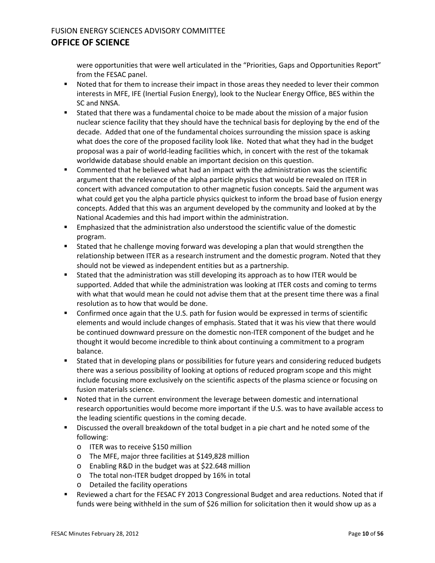were opportunities that were well articulated in the "Priorities, Gaps and Opportunities Report" from the FESAC panel.

- **Noted that for them to increase their impact in those areas they needed to lever their common** interests in MFE, IFE (Inertial Fusion Energy), look to the Nuclear Energy Office, BES within the SC and NNSA.
- Stated that there was a fundamental choice to be made about the mission of a major fusion nuclear science facility that they should have the technical basis for deploying by the end of the decade. Added that one of the fundamental choices surrounding the mission space is asking what does the core of the proposed facility look like. Noted that what they had in the budget proposal was a pair of world-leading facilities which, in concert with the rest of the tokamak worldwide database should enable an important decision on this question.
- Commented that he believed what had an impact with the administration was the scientific argument that the relevance of the alpha particle physics that would be revealed on ITER in concert with advanced computation to other magnetic fusion concepts. Said the argument was what could get you the alpha particle physics quickest to inform the broad base of fusion energy concepts. Added that this was an argument developed by the community and looked at by the National Academies and this had import within the administration.
- Emphasized that the administration also understood the scientific value of the domestic program.
- Stated that he challenge moving forward was developing a plan that would strengthen the relationship between ITER as a research instrument and the domestic program. Noted that they should not be viewed as independent entities but as a partnership.
- Stated that the administration was still developing its approach as to how ITER would be supported. Added that while the administration was looking at ITER costs and coming to terms with what that would mean he could not advise them that at the present time there was a final resolution as to how that would be done.
- Confirmed once again that the U.S. path for fusion would be expressed in terms of scientific elements and would include changes of emphasis. Stated that it was his view that there would be continued downward pressure on the domestic non-ITER component of the budget and he thought it would become incredible to think about continuing a commitment to a program balance.
- Stated that in developing plans or possibilities for future years and considering reduced budgets there was a serious possibility of looking at options of reduced program scope and this might include focusing more exclusively on the scientific aspects of the plasma science or focusing on fusion materials science.
- **Noted that in the current environment the leverage between domestic and international** research opportunities would become more important if the U.S. was to have available access to the leading scientific questions in the coming decade.
- Discussed the overall breakdown of the total budget in a pie chart and he noted some of the following:
	- o ITER was to receive \$150 million
	- o The MFE, major three facilities at \$149,828 million
	- o Enabling R&D in the budget was at \$22.648 million
	- o The total non-ITER budget dropped by 16% in total
	- o Detailed the facility operations
- Reviewed a chart for the FESAC FY 2013 Congressional Budget and area reductions. Noted that if funds were being withheld in the sum of \$26 million for solicitation then it would show up as a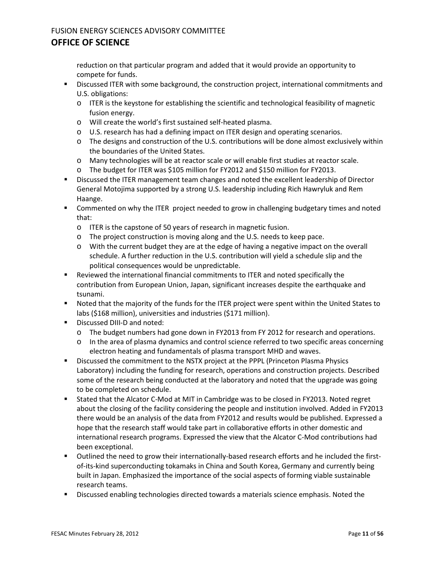reduction on that particular program and added that it would provide an opportunity to compete for funds.

- **EXEDE ITER with some background, the construction project, international commitments and IN** U.S. obligations:
	- $\circ$  ITER is the keystone for establishing the scientific and technological feasibility of magnetic fusion energy.
	- o Will create the world's first sustained self-heated plasma.
	- o U.S. research has had a defining impact on ITER design and operating scenarios.
	- o The designs and construction of the U.S. contributions will be done almost exclusively within the boundaries of the United States.
	- o Many technologies will be at reactor scale or will enable first studies at reactor scale.
	- o The budget for ITER was \$105 million for FY2012 and \$150 million for FY2013.
- **EXECT** Discussed the ITER management team changes and noted the excellent leadership of Director General Motojima supported by a strong U.S. leadership including Rich Hawryluk and Rem Haange.
- Commented on why the ITER project needed to grow in challenging budgetary times and noted that:
	- o ITER is the capstone of 50 years of research in magnetic fusion.
	- o The project construction is moving along and the U.S. needs to keep pace.
	- o With the current budget they are at the edge of having a negative impact on the overall schedule. A further reduction in the U.S. contribution will yield a schedule slip and the political consequences would be unpredictable.
- Reviewed the international financial commitments to ITER and noted specifically the contribution from European Union, Japan, significant increases despite the earthquake and tsunami.
- Noted that the majority of the funds for the ITER project were spent within the United States to labs (\$168 million), universities and industries (\$171 million).
- **Discussed DIII-D and noted:** 
	- o The budget numbers had gone down in FY2013 from FY 2012 for research and operations.
	- o In the area of plasma dynamics and control science referred to two specific areas concerning electron heating and fundamentals of plasma transport MHD and waves.
- Discussed the commitment to the NSTX project at the PPPL (Princeton Plasma Physics Laboratory) including the funding for research, operations and construction projects. Described some of the research being conducted at the laboratory and noted that the upgrade was going to be completed on schedule.
- Stated that the Alcator C-Mod at MIT in Cambridge was to be closed in FY2013. Noted regret about the closing of the facility considering the people and institution involved. Added in FY2013 there would be an analysis of the data from FY2012 and results would be published. Expressed a hope that the research staff would take part in collaborative efforts in other domestic and international research programs. Expressed the view that the Alcator C-Mod contributions had been exceptional.
- Outlined the need to grow their internationally-based research efforts and he included the firstof-its-kind superconducting tokamaks in China and South Korea, Germany and currently being built in Japan. Emphasized the importance of the social aspects of forming viable sustainable research teams.
- Discussed enabling technologies directed towards a materials science emphasis. Noted the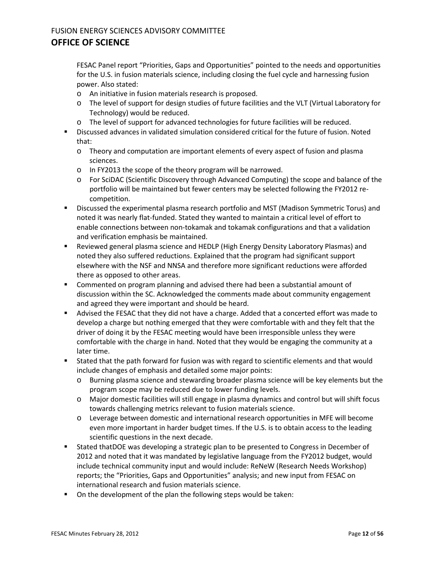FESAC Panel report "Priorities, Gaps and Opportunities" pointed to the needs and opportunities for the U.S. in fusion materials science, including closing the fuel cycle and harnessing fusion power. Also stated:

- o An initiative in fusion materials research is proposed.
- o The level of support for design studies of future facilities and the VLT (Virtual Laboratory for Technology) would be reduced.
- o The level of support for advanced technologies for future facilities will be reduced.
- Discussed advances in validated simulation considered critical for the future of fusion. Noted that:
	- o Theory and computation are important elements of every aspect of fusion and plasma sciences.
	- o In FY2013 the scope of the theory program will be narrowed.
	- o For SciDAC (Scientific Discovery through Advanced Computing) the scope and balance of the portfolio will be maintained but fewer centers may be selected following the FY2012 recompetition.
- Discussed the experimental plasma research portfolio and MST (Madison Symmetric Torus) and noted it was nearly flat-funded. Stated they wanted to maintain a critical level of effort to enable connections between non-tokamak and tokamak configurations and that a validation and verification emphasis be maintained.
- Reviewed general plasma science and HEDLP (High Energy Density Laboratory Plasmas) and noted they also suffered reductions. Explained that the program had significant support elsewhere with the NSF and NNSA and therefore more significant reductions were afforded there as opposed to other areas.
- Commented on program planning and advised there had been a substantial amount of discussion within the SC. Acknowledged the comments made about community engagement and agreed they were important and should be heard.
- Advised the FESAC that they did not have a charge. Added that a concerted effort was made to develop a charge but nothing emerged that they were comfortable with and they felt that the driver of doing it by the FESAC meeting would have been irresponsible unless they were comfortable with the charge in hand. Noted that they would be engaging the community at a later time.
- Stated that the path forward for fusion was with regard to scientific elements and that would include changes of emphasis and detailed some major points:
	- o Burning plasma science and stewarding broader plasma science will be key elements but the program scope may be reduced due to lower funding levels.
	- o Major domestic facilities will still engage in plasma dynamics and control but will shift focus towards challenging metrics relevant to fusion materials science.
	- o Leverage between domestic and international research opportunities in MFE will become even more important in harder budget times. If the U.S. is to obtain access to the leading scientific questions in the next decade.
- Stated thatDOE was developing a strategic plan to be presented to Congress in December of 2012 and noted that it was mandated by legislative language from the FY2012 budget, would include technical community input and would include: ReNeW (Research Needs Workshop) reports; the "Priorities, Gaps and Opportunities" analysis; and new input from FESAC on international research and fusion materials science.
- On the development of the plan the following steps would be taken: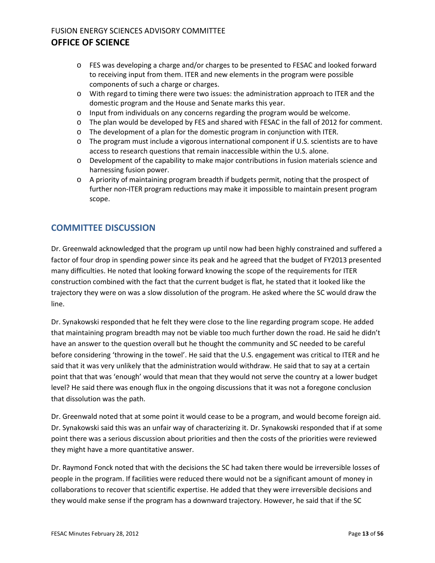- o FES was developing a charge and/or charges to be presented to FESAC and looked forward to receiving input from them. ITER and new elements in the program were possible components of such a charge or charges.
- o With regard to timing there were two issues: the administration approach to ITER and the domestic program and the House and Senate marks this year.
- o Input from individuals on any concerns regarding the program would be welcome.
- o The plan would be developed by FES and shared with FESAC in the fall of 2012 for comment.
- o The development of a plan for the domestic program in conjunction with ITER.
- o The program must include a vigorous international component if U.S. scientists are to have access to research questions that remain inaccessible within the U.S. alone.
- o Development of the capability to make major contributions in fusion materials science and harnessing fusion power.
- o A priority of maintaining program breadth if budgets permit, noting that the prospect of further non-ITER program reductions may make it impossible to maintain present program scope.

## **COMMITTEE DISCUSSION**

Dr. Greenwald acknowledged that the program up until now had been highly constrained and suffered a factor of four drop in spending power since its peak and he agreed that the budget of FY2013 presented many difficulties. He noted that looking forward knowing the scope of the requirements for ITER construction combined with the fact that the current budget is flat, he stated that it looked like the trajectory they were on was a slow dissolution of the program. He asked where the SC would draw the line.

Dr. Synakowski responded that he felt they were close to the line regarding program scope. He added that maintaining program breadth may not be viable too much further down the road. He said he didn't have an answer to the question overall but he thought the community and SC needed to be careful before considering 'throwing in the towel'. He said that the U.S. engagement was critical to ITER and he said that it was very unlikely that the administration would withdraw. He said that to say at a certain point that that was 'enough' would that mean that they would not serve the country at a lower budget level? He said there was enough flux in the ongoing discussions that it was not a foregone conclusion that dissolution was the path.

Dr. Greenwald noted that at some point it would cease to be a program, and would become foreign aid. Dr. Synakowski said this was an unfair way of characterizing it. Dr. Synakowski responded that if at some point there was a serious discussion about priorities and then the costs of the priorities were reviewed they might have a more quantitative answer.

Dr. Raymond Fonck noted that with the decisions the SC had taken there would be irreversible losses of people in the program. If facilities were reduced there would not be a significant amount of money in collaborations to recover that scientific expertise. He added that they were irreversible decisions and they would make sense if the program has a downward trajectory. However, he said that if the SC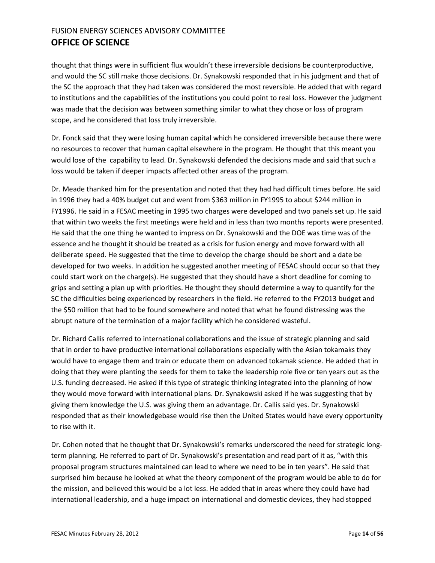thought that things were in sufficient flux wouldn't these irreversible decisions be counterproductive, and would the SC still make those decisions. Dr. Synakowski responded that in his judgment and that of the SC the approach that they had taken was considered the most reversible. He added that with regard to institutions and the capabilities of the institutions you could point to real loss. However the judgment was made that the decision was between something similar to what they chose or loss of program scope, and he considered that loss truly irreversible.

Dr. Fonck said that they were losing human capital which he considered irreversible because there were no resources to recover that human capital elsewhere in the program. He thought that this meant you would lose of the capability to lead. Dr. Synakowski defended the decisions made and said that such a loss would be taken if deeper impacts affected other areas of the program.

Dr. Meade thanked him for the presentation and noted that they had had difficult times before. He said in 1996 they had a 40% budget cut and went from \$363 million in FY1995 to about \$244 million in FY1996. He said in a FESAC meeting in 1995 two charges were developed and two panels set up. He said that within two weeks the first meetings were held and in less than two months reports were presented. He said that the one thing he wanted to impress on Dr. Synakowski and the DOE was time was of the essence and he thought it should be treated as a crisis for fusion energy and move forward with all deliberate speed. He suggested that the time to develop the charge should be short and a date be developed for two weeks. In addition he suggested another meeting of FESAC should occur so that they could start work on the charge(s). He suggested that they should have a short deadline for coming to grips and setting a plan up with priorities. He thought they should determine a way to quantify for the SC the difficulties being experienced by researchers in the field. He referred to the FY2013 budget and the \$50 million that had to be found somewhere and noted that what he found distressing was the abrupt nature of the termination of a major facility which he considered wasteful.

Dr. Richard Callis referred to international collaborations and the issue of strategic planning and said that in order to have productive international collaborations especially with the Asian tokamaks they would have to engage them and train or educate them on advanced tokamak science. He added that in doing that they were planting the seeds for them to take the leadership role five or ten years out as the U.S. funding decreased. He asked if this type of strategic thinking integrated into the planning of how they would move forward with international plans. Dr. Synakowski asked if he was suggesting that by giving them knowledge the U.S. was giving them an advantage. Dr. Callis said yes. Dr. Synakowski responded that as their knowledgebase would rise then the United States would have every opportunity to rise with it.

Dr. Cohen noted that he thought that Dr. Synakowski's remarks underscored the need for strategic longterm planning. He referred to part of Dr. Synakowski's presentation and read part of it as, "with this proposal program structures maintained can lead to where we need to be in ten years". He said that surprised him because he looked at what the theory component of the program would be able to do for the mission, and believed this would be a lot less. He added that in areas where they could have had international leadership, and a huge impact on international and domestic devices, they had stopped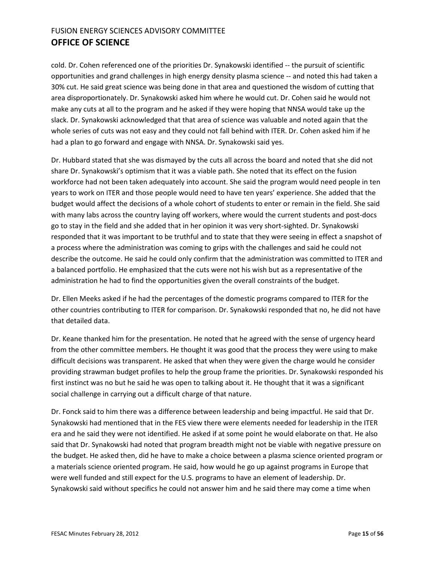cold. Dr. Cohen referenced one of the priorities Dr. Synakowski identified -- the pursuit of scientific opportunities and grand challenges in high energy density plasma science -- and noted this had taken a 30% cut. He said great science was being done in that area and questioned the wisdom of cutting that area disproportionately. Dr. Synakowski asked him where he would cut. Dr. Cohen said he would not make any cuts at all to the program and he asked if they were hoping that NNSA would take up the slack. Dr. Synakowski acknowledged that that area of science was valuable and noted again that the whole series of cuts was not easy and they could not fall behind with ITER. Dr. Cohen asked him if he had a plan to go forward and engage with NNSA. Dr. Synakowski said yes.

Dr. Hubbard stated that she was dismayed by the cuts all across the board and noted that she did not share Dr. Synakowski's optimism that it was a viable path. She noted that its effect on the fusion workforce had not been taken adequately into account. She said the program would need people in ten years to work on ITER and those people would need to have ten years' experience. She added that the budget would affect the decisions of a whole cohort of students to enter or remain in the field. She said with many labs across the country laying off workers, where would the current students and post-docs go to stay in the field and she added that in her opinion it was very short-sighted. Dr. Synakowski responded that it was important to be truthful and to state that they were seeing in effect a snapshot of a process where the administration was coming to grips with the challenges and said he could not describe the outcome. He said he could only confirm that the administration was committed to ITER and a balanced portfolio. He emphasized that the cuts were not his wish but as a representative of the administration he had to find the opportunities given the overall constraints of the budget.

Dr. Ellen Meeks asked if he had the percentages of the domestic programs compared to ITER for the other countries contributing to ITER for comparison. Dr. Synakowski responded that no, he did not have that detailed data.

Dr. Keane thanked him for the presentation. He noted that he agreed with the sense of urgency heard from the other committee members. He thought it was good that the process they were using to make difficult decisions was transparent. He asked that when they were given the charge would he consider providing strawman budget profiles to help the group frame the priorities. Dr. Synakowski responded his first instinct was no but he said he was open to talking about it. He thought that it was a significant social challenge in carrying out a difficult charge of that nature.

Dr. Fonck said to him there was a difference between leadership and being impactful. He said that Dr. Synakowski had mentioned that in the FES view there were elements needed for leadership in the ITER era and he said they were not identified. He asked if at some point he would elaborate on that. He also said that Dr. Synakowski had noted that program breadth might not be viable with negative pressure on the budget. He asked then, did he have to make a choice between a plasma science oriented program or a materials science oriented program. He said, how would he go up against programs in Europe that were well funded and still expect for the U.S. programs to have an element of leadership. Dr. Synakowski said without specifics he could not answer him and he said there may come a time when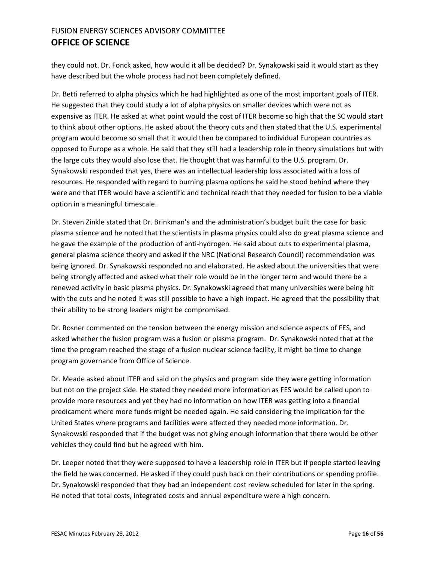they could not. Dr. Fonck asked, how would it all be decided? Dr. Synakowski said it would start as they have described but the whole process had not been completely defined.

Dr. Betti referred to alpha physics which he had highlighted as one of the most important goals of ITER. He suggested that they could study a lot of alpha physics on smaller devices which were not as expensive as ITER. He asked at what point would the cost of ITER become so high that the SC would start to think about other options. He asked about the theory cuts and then stated that the U.S. experimental program would become so small that it would then be compared to individual European countries as opposed to Europe as a whole. He said that they still had a leadership role in theory simulations but with the large cuts they would also lose that. He thought that was harmful to the U.S. program. Dr. Synakowski responded that yes, there was an intellectual leadership loss associated with a loss of resources. He responded with regard to burning plasma options he said he stood behind where they were and that ITER would have a scientific and technical reach that they needed for fusion to be a viable option in a meaningful timescale.

Dr. Steven Zinkle stated that Dr. Brinkman's and the administration's budget built the case for basic plasma science and he noted that the scientists in plasma physics could also do great plasma science and he gave the example of the production of anti-hydrogen. He said about cuts to experimental plasma, general plasma science theory and asked if the NRC (National Research Council) recommendation was being ignored. Dr. Synakowski responded no and elaborated. He asked about the universities that were being strongly affected and asked what their role would be in the longer term and would there be a renewed activity in basic plasma physics. Dr. Synakowski agreed that many universities were being hit with the cuts and he noted it was still possible to have a high impact. He agreed that the possibility that their ability to be strong leaders might be compromised.

Dr. Rosner commented on the tension between the energy mission and science aspects of FES, and asked whether the fusion program was a fusion or plasma program. Dr. Synakowski noted that at the time the program reached the stage of a fusion nuclear science facility, it might be time to change program governance from Office of Science.

Dr. Meade asked about ITER and said on the physics and program side they were getting information but not on the project side. He stated they needed more information as FES would be called upon to provide more resources and yet they had no information on how ITER was getting into a financial predicament where more funds might be needed again. He said considering the implication for the United States where programs and facilities were affected they needed more information. Dr. Synakowski responded that if the budget was not giving enough information that there would be other vehicles they could find but he agreed with him.

Dr. Leeper noted that they were supposed to have a leadership role in ITER but if people started leaving the field he was concerned. He asked if they could push back on their contributions or spending profile. Dr. Synakowski responded that they had an independent cost review scheduled for later in the spring. He noted that total costs, integrated costs and annual expenditure were a high concern.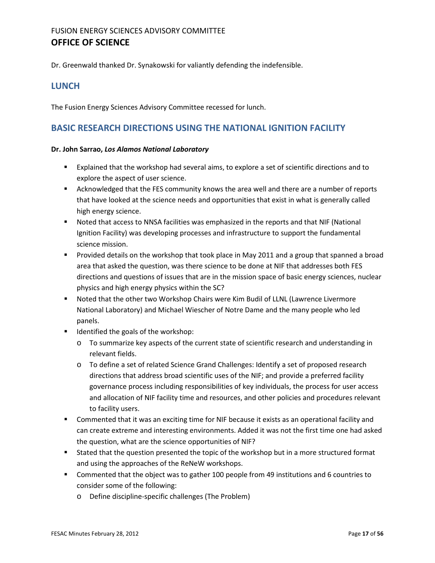Dr. Greenwald thanked Dr. Synakowski for valiantly defending the indefensible.

#### <span id="page-16-1"></span>**LUNCH**

The Fusion Energy Sciences Advisory Committee recessed for lunch.

#### <span id="page-16-0"></span>**BASIC RESEARCH DIRECTIONS USING THE NATIONAL IGNITION FACILITY**

#### **Dr. John Sarrao,** *Los Alamos National Laboratory*

- Explained that the workshop had several aims, to explore a set of scientific directions and to explore the aspect of user science.
- Acknowledged that the FES community knows the area well and there are a number of reports that have looked at the science needs and opportunities that exist in what is generally called high energy science.
- Noted that access to NNSA facilities was emphasized in the reports and that NIF (National Ignition Facility) was developing processes and infrastructure to support the fundamental science mission.
- **Provided details on the workshop that took place in May 2011 and a group that spanned a broad** area that asked the question, was there science to be done at NIF that addresses both FES directions and questions of issues that are in the mission space of basic energy sciences, nuclear physics and high energy physics within the SC?
- Noted that the other two Workshop Chairs were Kim Budil of LLNL (Lawrence Livermore National Laboratory) and Michael Wiescher of Notre Dame and the many people who led panels.
- **If** Identified the goals of the workshop:
	- o To summarize key aspects of the current state of scientific research and understanding in relevant fields.
	- o To define a set of related Science Grand Challenges: Identify a set of proposed research directions that address broad scientific uses of the NIF; and provide a preferred facility governance process including responsibilities of key individuals, the process for user access and allocation of NIF facility time and resources, and other policies and procedures relevant to facility users.
- Commented that it was an exciting time for NIF because it exists as an operational facility and can create extreme and interesting environments. Added it was not the first time one had asked the question, what are the science opportunities of NIF?
- Stated that the question presented the topic of the workshop but in a more structured format and using the approaches of the ReNeW workshops.
- Commented that the object was to gather 100 people from 49 institutions and 6 countries to consider some of the following:
	- o Define discipline-specific challenges (The Problem)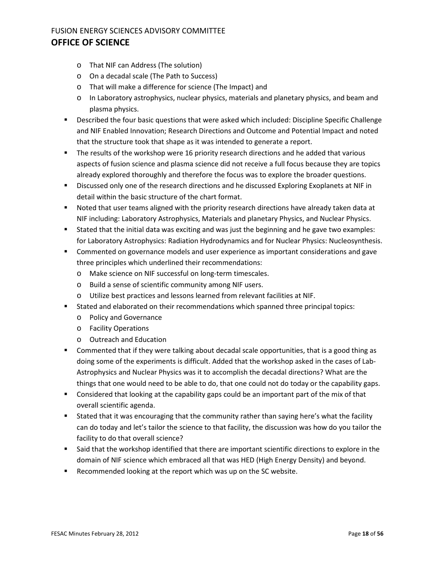- o That NIF can Address (The solution)
- o On a decadal scale (The Path to Success)
- o That will make a difference for science (The Impact) and
- o In Laboratory astrophysics, nuclear physics, materials and planetary physics, and beam and plasma physics.
- **Described the four basic questions that were asked which included: Discipline Specific Challenge** and NIF Enabled Innovation; Research Directions and Outcome and Potential Impact and noted that the structure took that shape as it was intended to generate a report.
- The results of the workshop were 16 priority research directions and he added that various aspects of fusion science and plasma science did not receive a full focus because they are topics already explored thoroughly and therefore the focus was to explore the broader questions.
- **EXP** Discussed only one of the research directions and he discussed Exploring Exoplanets at NIF in detail within the basic structure of the chart format.
- Noted that user teams aligned with the priority research directions have already taken data at NIF including: Laboratory Astrophysics, Materials and planetary Physics, and Nuclear Physics.
- Stated that the initial data was exciting and was just the beginning and he gave two examples: for Laboratory Astrophysics: Radiation Hydrodynamics and for Nuclear Physics: Nucleosynthesis.
- Commented on governance models and user experience as important considerations and gave three principles which underlined their recommendations:
	- o Make science on NIF successful on long-term timescales.
	- o Build a sense of scientific community among NIF users.
	- o Utilize best practices and lessons learned from relevant facilities at NIF.
- Stated and elaborated on their recommendations which spanned three principal topics:
	- o Policy and Governance
	- o Facility Operations
	- o Outreach and Education
- Commented that if they were talking about decadal scale opportunities, that is a good thing as doing some of the experiments is difficult. Added that the workshop asked in the cases of Lab-Astrophysics and Nuclear Physics was it to accomplish the decadal directions? What are the things that one would need to be able to do, that one could not do today or the capability gaps.
- **Considered that looking at the capability gaps could be an important part of the mix of that** overall scientific agenda.
- Stated that it was encouraging that the community rather than saying here's what the facility can do today and let's tailor the science to that facility, the discussion was how do you tailor the facility to do that overall science?
- Said that the workshop identified that there are important scientific directions to explore in the domain of NIF science which embraced all that was HED (High Energy Density) and beyond.
- Recommended looking at the report which was up on the SC website.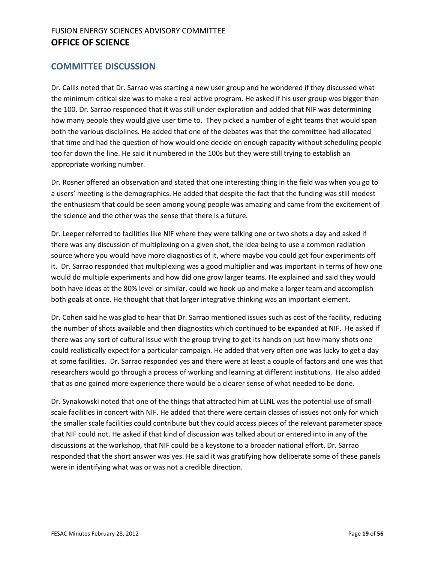#### **COMMITTEE DISCUSSION**

Dr. Callis noted that Dr. Sarrao was starting a new user group and he wondered if they discussed what the minimum critical size was to make a real active program. He asked if his user group was bigger than the 100. Dr. Sarrao responded that it was still under exploration and added that NIF was determining how many people they would give user time to. They picked a number of eight teams that would span both the various disciplines. He added that one of the debates was that the committee had allocated that time and had the question of how would one decide on enough capacity without scheduling people too far down the line. He said it numbered in the 100s but they were still trying to establish an appropriate working number.

Dr. Rosner offered an observation and stated that one interesting thing in the field was when you go to a users' meeting is the demographics. He added that despite the fact that the funding was still modest the enthusiasm that could be seen among young people was amazing and came from the excitement of the science and the other was the sense that there is a future.

Dr. Leeper referred to facilities like NIF where they were talking one or two shots a day and asked if there was any discussion of multiplexing on a given shot, the idea being to use a common radiation source where you would have more diagnostics of it, where maybe you could get four experiments off it. Dr. Sarrao responded that multiplexing was a good multiplier and was important in terms of how one would do multiple experiments and how did one grow larger teams. He explained and said they would both have ideas at the 80% level or similar, could we hook up and make a larger team and accomplish both goals at once. He thought that that larger integrative thinking was an important element.

Dr. Cohen said he was glad to hear that Dr. Sarrao mentioned issues such as cost of the facility, reducing the number of shots available and then diagnostics which continued to be expanded at NIF. He asked if there was any sort of cultural issue with the group trying to get its hands on just how many shots one could realistically expect for a particular campaign. He added that very often one was lucky to get a day at some facilities. Dr. Sarrao responded yes and there were at least a couple of factors and one was that researchers would go through a process of working and learning at different institutions. He also added that as one gained more experience there would be a clearer sense of what needed to be done.

Dr. Synakowski noted that one of the things that attracted him at LLNL was the potential use of smallscale facilities in concert with NIF. He added that there were certain classes of issues not only for which the smaller scale facilities could contribute but they could access pieces of the relevant parameter space that NIF could not. He asked if that kind of discussion was talked about or entered into in any of the discussions at the workshop, that NIF could be a keystone to a broader national effort. Dr. Sarrao responded that the short answer was yes. He said it was gratifying how deliberate some of these panels were in identifying what was or was not a credible direction.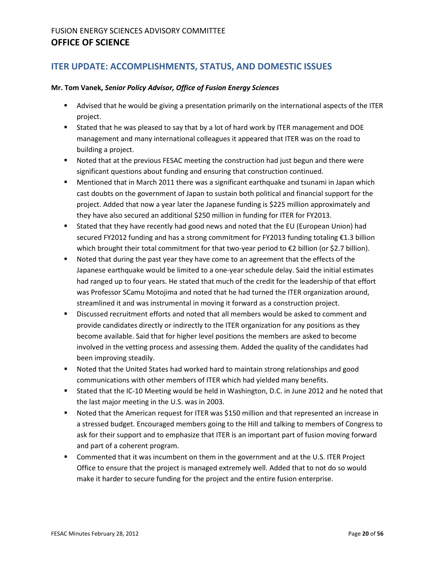## <span id="page-19-0"></span>**ITER UPDATE: ACCOMPLISHMENTS, STATUS, AND DOMESTIC ISSUES**

#### **Mr. Tom Vanek,** *Senior Policy Advisor, Office of Fusion Energy Sciences*

- Advised that he would be giving a presentation primarily on the international aspects of the ITER project.
- Stated that he was pleased to say that by a lot of hard work by ITER management and DOE management and many international colleagues it appeared that ITER was on the road to building a project.
- **Noted that at the previous FESAC meeting the construction had just begun and there were** significant questions about funding and ensuring that construction continued.
- **Mentioned that in March 2011 there was a significant earthquake and tsunami in Japan which** cast doubts on the government of Japan to sustain both political and financial support for the project. Added that now a year later the Japanese funding is \$225 million approximately and they have also secured an additional \$250 million in funding for ITER for FY2013.
- Stated that they have recently had good news and noted that the EU (European Union) had secured FY2012 funding and has a strong commitment for FY2013 funding totaling €1.3 billion which brought their total commitment for that two-year period to  $\epsilon$ 2 billion (or \$2.7 billion).
- **Noted that during the past year they have come to an agreement that the effects of the** Japanese earthquake would be limited to a one-year schedule delay. Said the initial estimates had ranged up to four years. He stated that much of the credit for the leadership of that effort was Professor SCamu Motojima and noted that he had turned the ITER organization around, streamlined it and was instrumental in moving it forward as a construction project.
- Discussed recruitment efforts and noted that all members would be asked to comment and provide candidates directly or indirectly to the ITER organization for any positions as they become available. Said that for higher level positions the members are asked to become involved in the vetting process and assessing them. Added the quality of the candidates had been improving steadily.
- Noted that the United States had worked hard to maintain strong relationships and good communications with other members of ITER which had yielded many benefits.
- **Stated that the IC-10 Meeting would be held in Washington, D.C. in June 2012 and he noted that** the last major meeting in the U.S. was in 2003.
- Noted that the American request for ITER was \$150 million and that represented an increase in a stressed budget. Encouraged members going to the Hill and talking to members of Congress to ask for their support and to emphasize that ITER is an important part of fusion moving forward and part of a coherent program.
- **Commented that it was incumbent on them in the government and at the U.S. ITER Project** Office to ensure that the project is managed extremely well. Added that to not do so would make it harder to secure funding for the project and the entire fusion enterprise.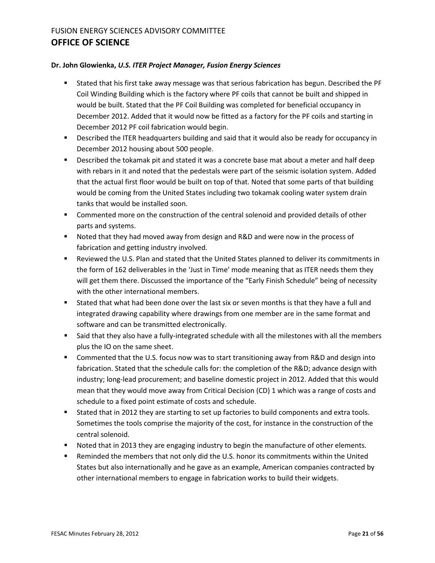#### **Dr. John Glowienka,** *U.S. ITER Project Manager, Fusion Energy Sciences*

- Stated that his first take away message was that serious fabrication has begun. Described the PF Coil Winding Building which is the factory where PF coils that cannot be built and shipped in would be built. Stated that the PF Coil Building was completed for beneficial occupancy in December 2012. Added that it would now be fitted as a factory for the PF coils and starting in December 2012 PF coil fabrication would begin.
- **Described the ITER headquarters building and said that it would also be ready for occupancy in** December 2012 housing about 500 people.
- **Described the tokamak pit and stated it was a concrete base mat about a meter and half deep** with rebars in it and noted that the pedestals were part of the seismic isolation system. Added that the actual first floor would be built on top of that. Noted that some parts of that building would be coming from the United States including two tokamak cooling water system drain tanks that would be installed soon.
- **EXECOMMENTED MORE ON THE CONSTRUCTION OF THE CONTROL CONSTRUST COMMENTED CONTROL CONTROL CONTROL CONTROL CONTR** parts and systems.
- Noted that they had moved away from design and R&D and were now in the process of fabrication and getting industry involved.
- Reviewed the U.S. Plan and stated that the United States planned to deliver its commitments in the form of 162 deliverables in the 'Just in Time' mode meaning that as ITER needs them they will get them there. Discussed the importance of the "Early Finish Schedule" being of necessity with the other international members.
- Stated that what had been done over the last six or seven months is that they have a full and integrated drawing capability where drawings from one member are in the same format and software and can be transmitted electronically.
- Said that they also have a fully-integrated schedule with all the milestones with all the members plus the IO on the same sheet.
- Commented that the U.S. focus now was to start transitioning away from R&D and design into fabrication. Stated that the schedule calls for: the completion of the R&D; advance design with industry; long-lead procurement; and baseline domestic project in 2012. Added that this would mean that they would move away from Critical Decision (CD) 1 which was a range of costs and schedule to a fixed point estimate of costs and schedule.
- Stated that in 2012 they are starting to set up factories to build components and extra tools. Sometimes the tools comprise the majority of the cost, for instance in the construction of the central solenoid.
- **Noted that in 2013 they are engaging industry to begin the manufacture of other elements.**
- Reminded the members that not only did the U.S. honor its commitments within the United States but also internationally and he gave as an example, American companies contracted by other international members to engage in fabrication works to build their widgets.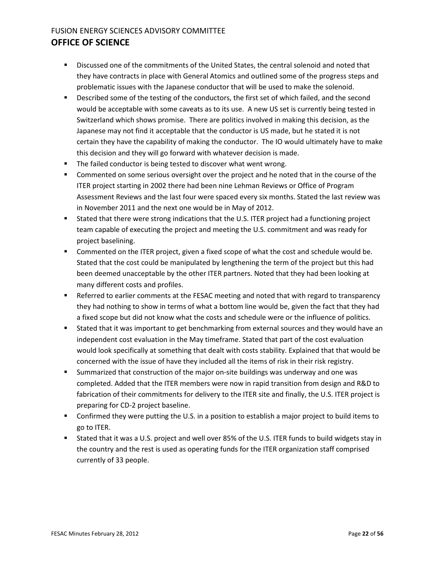- Discussed one of the commitments of the United States, the central solenoid and noted that they have contracts in place with General Atomics and outlined some of the progress steps and problematic issues with the Japanese conductor that will be used to make the solenoid.
- **•** Described some of the testing of the conductors, the first set of which failed, and the second would be acceptable with some caveats as to its use. A new US set is currently being tested in Switzerland which shows promise. There are politics involved in making this decision, as the Japanese may not find it acceptable that the conductor is US made, but he stated it is not certain they have the capability of making the conductor. The IO would ultimately have to make this decision and they will go forward with whatever decision is made.
- The failed conductor is being tested to discover what went wrong.
- Commented on some serious oversight over the project and he noted that in the course of the ITER project starting in 2002 there had been nine Lehman Reviews or Office of Program Assessment Reviews and the last four were spaced every six months. Stated the last review was in November 2011 and the next one would be in May of 2012.
- **Stated that there were strong indications that the U.S. ITER project had a functioning project** team capable of executing the project and meeting the U.S. commitment and was ready for project baselining.
- Commented on the ITER project, given a fixed scope of what the cost and schedule would be. Stated that the cost could be manipulated by lengthening the term of the project but this had been deemed unacceptable by the other ITER partners. Noted that they had been looking at many different costs and profiles.
- **EXECT** Referred to earlier comments at the FESAC meeting and noted that with regard to transparency they had nothing to show in terms of what a bottom line would be, given the fact that they had a fixed scope but did not know what the costs and schedule were or the influence of politics.
- Stated that it was important to get benchmarking from external sources and they would have an independent cost evaluation in the May timeframe. Stated that part of the cost evaluation would look specifically at something that dealt with costs stability. Explained that that would be concerned with the issue of have they included all the items of risk in their risk registry.
- Summarized that construction of the major on-site buildings was underway and one was completed. Added that the ITER members were now in rapid transition from design and R&D to fabrication of their commitments for delivery to the ITER site and finally, the U.S. ITER project is preparing for CD-2 project baseline.
- **Confirmed they were putting the U.S. in a position to establish a major project to build items to** go to ITER.
- Stated that it was a U.S. project and well over 85% of the U.S. ITER funds to build widgets stay in the country and the rest is used as operating funds for the ITER organization staff comprised currently of 33 people.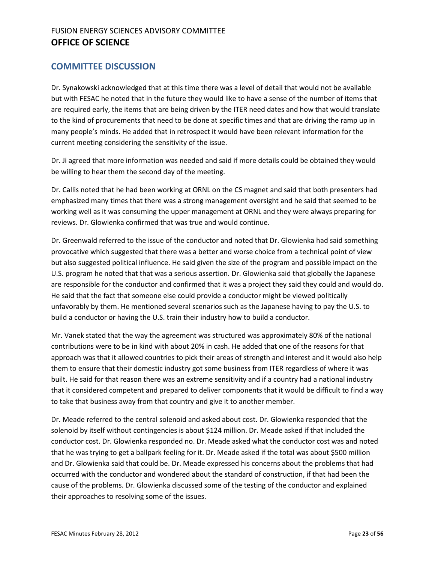#### **COMMITTEE DISCUSSION**

Dr. Synakowski acknowledged that at this time there was a level of detail that would not be available but with FESAC he noted that in the future they would like to have a sense of the number of items that are required early, the items that are being driven by the ITER need dates and how that would translate to the kind of procurements that need to be done at specific times and that are driving the ramp up in many people's minds. He added that in retrospect it would have been relevant information for the current meeting considering the sensitivity of the issue.

Dr. Ji agreed that more information was needed and said if more details could be obtained they would be willing to hear them the second day of the meeting.

Dr. Callis noted that he had been working at ORNL on the CS magnet and said that both presenters had emphasized many times that there was a strong management oversight and he said that seemed to be working well as it was consuming the upper management at ORNL and they were always preparing for reviews. Dr. Glowienka confirmed that was true and would continue.

Dr. Greenwald referred to the issue of the conductor and noted that Dr. Glowienka had said something provocative which suggested that there was a better and worse choice from a technical point of view but also suggested political influence. He said given the size of the program and possible impact on the U.S. program he noted that that was a serious assertion. Dr. Glowienka said that globally the Japanese are responsible for the conductor and confirmed that it was a project they said they could and would do. He said that the fact that someone else could provide a conductor might be viewed politically unfavorably by them. He mentioned several scenarios such as the Japanese having to pay the U.S. to build a conductor or having the U.S. train their industry how to build a conductor.

Mr. Vanek stated that the way the agreement was structured was approximately 80% of the national contributions were to be in kind with about 20% in cash. He added that one of the reasons for that approach was that it allowed countries to pick their areas of strength and interest and it would also help them to ensure that their domestic industry got some business from ITER regardless of where it was built. He said for that reason there was an extreme sensitivity and if a country had a national industry that it considered competent and prepared to deliver components that it would be difficult to find a way to take that business away from that country and give it to another member.

Dr. Meade referred to the central solenoid and asked about cost. Dr. Glowienka responded that the solenoid by itself without contingencies is about \$124 million. Dr. Meade asked if that included the conductor cost. Dr. Glowienka responded no. Dr. Meade asked what the conductor cost was and noted that he was trying to get a ballpark feeling for it. Dr. Meade asked if the total was about \$500 million and Dr. Glowienka said that could be. Dr. Meade expressed his concerns about the problems that had occurred with the conductor and wondered about the standard of construction, if that had been the cause of the problems. Dr. Glowienka discussed some of the testing of the conductor and explained their approaches to resolving some of the issues.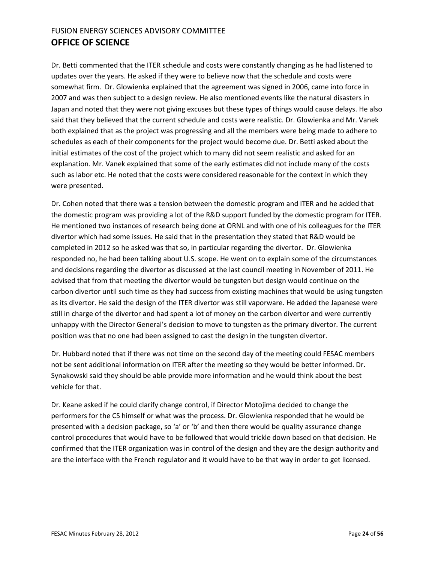Dr. Betti commented that the ITER schedule and costs were constantly changing as he had listened to updates over the years. He asked if they were to believe now that the schedule and costs were somewhat firm. Dr. Glowienka explained that the agreement was signed in 2006, came into force in 2007 and was then subject to a design review. He also mentioned events like the natural disasters in Japan and noted that they were not giving excuses but these types of things would cause delays. He also said that they believed that the current schedule and costs were realistic. Dr. Glowienka and Mr. Vanek both explained that as the project was progressing and all the members were being made to adhere to schedules as each of their components for the project would become due. Dr. Betti asked about the initial estimates of the cost of the project which to many did not seem realistic and asked for an explanation. Mr. Vanek explained that some of the early estimates did not include many of the costs such as labor etc. He noted that the costs were considered reasonable for the context in which they were presented.

Dr. Cohen noted that there was a tension between the domestic program and ITER and he added that the domestic program was providing a lot of the R&D support funded by the domestic program for ITER. He mentioned two instances of research being done at ORNL and with one of his colleagues for the ITER divertor which had some issues. He said that in the presentation they stated that R&D would be completed in 2012 so he asked was that so, in particular regarding the divertor. Dr. Glowienka responded no, he had been talking about U.S. scope. He went on to explain some of the circumstances and decisions regarding the divertor as discussed at the last council meeting in November of 2011. He advised that from that meeting the divertor would be tungsten but design would continue on the carbon divertor until such time as they had success from existing machines that would be using tungsten as its divertor. He said the design of the ITER divertor was still vaporware. He added the Japanese were still in charge of the divertor and had spent a lot of money on the carbon divertor and were currently unhappy with the Director General's decision to move to tungsten as the primary divertor. The current position was that no one had been assigned to cast the design in the tungsten divertor.

Dr. Hubbard noted that if there was not time on the second day of the meeting could FESAC members not be sent additional information on ITER after the meeting so they would be better informed. Dr. Synakowski said they should be able provide more information and he would think about the best vehicle for that.

Dr. Keane asked if he could clarify change control, if Director Motojima decided to change the performers for the CS himself or what was the process. Dr. Glowienka responded that he would be presented with a decision package, so 'a' or 'b' and then there would be quality assurance change control procedures that would have to be followed that would trickle down based on that decision. He confirmed that the ITER organization was in control of the design and they are the design authority and are the interface with the French regulator and it would have to be that way in order to get licensed.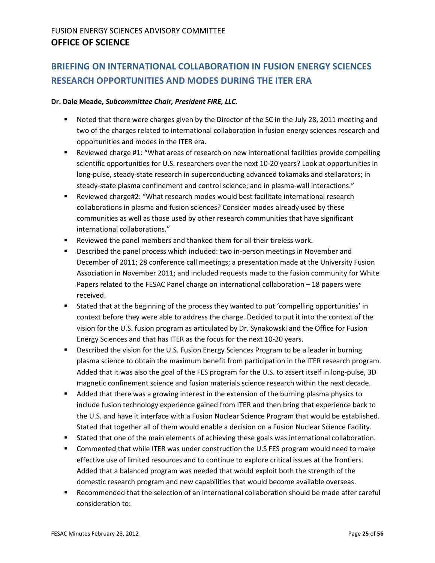# <span id="page-24-0"></span>**BRIEFING ON INTERNATIONAL COLLABORATION IN FUSION ENERGY SCIENCES RESEARCH OPPORTUNITIES AND MODES DURING THE ITER ERA**

#### **Dr. Dale Meade,** *Subcommittee Chair, President FIRE, LLC.*

- Noted that there were charges given by the Director of the SC in the July 28, 2011 meeting and two of the charges related to international collaboration in fusion energy sciences research and opportunities and modes in the ITER era.
- **EXECT** Reviewed charge #1: "What areas of research on new international facilities provide compelling scientific opportunities for U.S. researchers over the next 10-20 years? Look at opportunities in long-pulse, steady-state research in superconducting advanced tokamaks and stellarators; in steady-state plasma confinement and control science; and in plasma-wall interactions."
- Reviewed charge#2: "What research modes would best facilitate international research collaborations in plasma and fusion sciences? Consider modes already used by these communities as well as those used by other research communities that have significant international collaborations."
- Reviewed the panel members and thanked them for all their tireless work.
- Described the panel process which included: two in-person meetings in November and December of 2011; 28 conference call meetings; a presentation made at the University Fusion Association in November 2011; and included requests made to the fusion community for White Papers related to the FESAC Panel charge on international collaboration – 18 papers were received.
- Stated that at the beginning of the process they wanted to put 'compelling opportunities' in context before they were able to address the charge. Decided to put it into the context of the vision for the U.S. fusion program as articulated by Dr. Synakowski and the Office for Fusion Energy Sciences and that has ITER as the focus for the next 10-20 years.
- **Described the vision for the U.S. Fusion Energy Sciences Program to be a leader in burning** plasma science to obtain the maximum benefit from participation in the ITER research program. Added that it was also the goal of the FES program for the U.S. to assert itself in long-pulse, 3D magnetic confinement science and fusion materials science research within the next decade.
- **Added that there was a growing interest in the extension of the burning plasma physics to** include fusion technology experience gained from ITER and then bring that experience back to the U.S. and have it interface with a Fusion Nuclear Science Program that would be established. Stated that together all of them would enable a decision on a Fusion Nuclear Science Facility.
- **Stated that one of the main elements of achieving these goals was international collaboration.**
- **Commented that while ITER was under construction the U.S FES program would need to make** effective use of limited resources and to continue to explore critical issues at the frontiers. Added that a balanced program was needed that would exploit both the strength of the domestic research program and new capabilities that would become available overseas.
- Recommended that the selection of an international collaboration should be made after careful consideration to: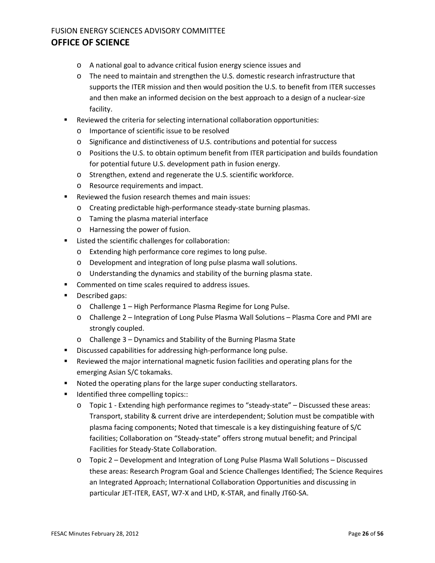- o A national goal to advance critical fusion energy science issues and
- o The need to maintain and strengthen the U.S. domestic research infrastructure that supports the ITER mission and then would position the U.S. to benefit from ITER successes and then make an informed decision on the best approach to a design of a nuclear-size facility.
- Reviewed the criteria for selecting international collaboration opportunities:
	- o Importance of scientific issue to be resolved
	- o Significance and distinctiveness of U.S. contributions and potential for success
	- o Positions the U.S. to obtain optimum benefit from ITER participation and builds foundation for potential future U.S. development path in fusion energy.
	- o Strengthen, extend and regenerate the U.S. scientific workforce.
	- o Resource requirements and impact.
- Reviewed the fusion research themes and main issues:
	- o Creating predictable high-performance steady-state burning plasmas.
	- o Taming the plasma material interface
	- o Harnessing the power of fusion.
- Listed the scientific challenges for collaboration:
	- o Extending high performance core regimes to long pulse.
	- o Development and integration of long pulse plasma wall solutions.
	- o Understanding the dynamics and stability of the burning plasma state.
- **Commented on time scales required to address issues.**
- **Described gaps:** 
	- o Challenge 1 High Performance Plasma Regime for Long Pulse.
	- o Challenge 2 Integration of Long Pulse Plasma Wall Solutions Plasma Core and PMI are strongly coupled.
	- o Challenge 3 Dynamics and Stability of the Burning Plasma State
- **Discussed capabilities for addressing high-performance long pulse.**
- Reviewed the major international magnetic fusion facilities and operating plans for the emerging Asian S/C tokamaks.
- **Noted the operating plans for the large super conducting stellarators.**
- Identified three compelling topics::
	- o Topic 1 Extending high performance regimes to "steady-state" Discussed these areas: Transport, stability & current drive are interdependent; Solution must be compatible with plasma facing components; Noted that timescale is a key distinguishing feature of S/C facilities; Collaboration on "Steady-state" offers strong mutual benefit; and Principal Facilities for Steady-State Collaboration.
	- o Topic 2 Development and Integration of Long Pulse Plasma Wall Solutions Discussed these areas: Research Program Goal and Science Challenges Identified; The Science Requires an Integrated Approach; International Collaboration Opportunities and discussing in particular JET-ITER, EAST, W7-X and LHD, K-STAR, and finally JT60-SA.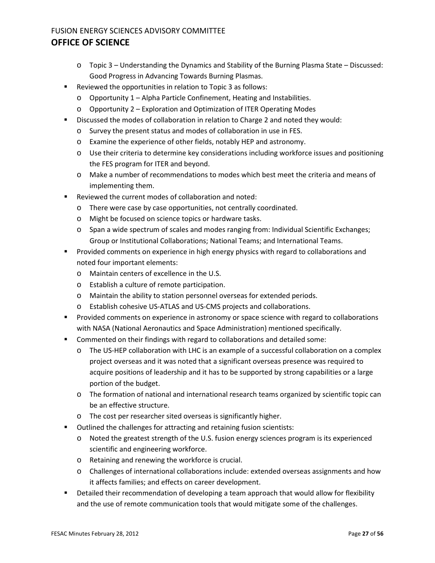- o Topic 3 Understanding the Dynamics and Stability of the Burning Plasma State Discussed: Good Progress in Advancing Towards Burning Plasmas.
- Reviewed the opportunities in relation to Topic 3 as follows:
	- o Opportunity 1 Alpha Particle Confinement, Heating and Instabilities.
	- o Opportunity 2 Exploration and Optimization of ITER Operating Modes
- Discussed the modes of collaboration in relation to Charge 2 and noted they would:
	- o Survey the present status and modes of collaboration in use in FES.
	- o Examine the experience of other fields, notably HEP and astronomy.
	- o Use their criteria to determine key considerations including workforce issues and positioning the FES program for ITER and beyond.
	- o Make a number of recommendations to modes which best meet the criteria and means of implementing them.
- Reviewed the current modes of collaboration and noted:
	- o There were case by case opportunities, not centrally coordinated.
	- o Might be focused on science topics or hardware tasks.
	- o Span a wide spectrum of scales and modes ranging from: Individual Scientific Exchanges; Group or Institutional Collaborations; National Teams; and International Teams.
- Provided comments on experience in high energy physics with regard to collaborations and noted four important elements:
	- o Maintain centers of excellence in the U.S.
	- o Establish a culture of remote participation.
	- o Maintain the ability to station personnel overseas for extended periods.
	- o Establish cohesive US-ATLAS and US-CMS projects and collaborations.
- Provided comments on experience in astronomy or space science with regard to collaborations with NASA (National Aeronautics and Space Administration) mentioned specifically.
- **Commented on their findings with regard to collaborations and detailed some:** 
	- o The US-HEP collaboration with LHC is an example of a successful collaboration on a complex project overseas and it was noted that a significant overseas presence was required to acquire positions of leadership and it has to be supported by strong capabilities or a large portion of the budget.
	- o The formation of national and international research teams organized by scientific topic can be an effective structure.
	- o The cost per researcher sited overseas is significantly higher.
- Outlined the challenges for attracting and retaining fusion scientists:
	- o Noted the greatest strength of the U.S. fusion energy sciences program is its experienced scientific and engineering workforce.
	- o Retaining and renewing the workforce is crucial.
	- o Challenges of international collaborations include: extended overseas assignments and how it affects families; and effects on career development.
- **EXECT** Detailed their recommendation of developing a team approach that would allow for flexibility and the use of remote communication tools that would mitigate some of the challenges.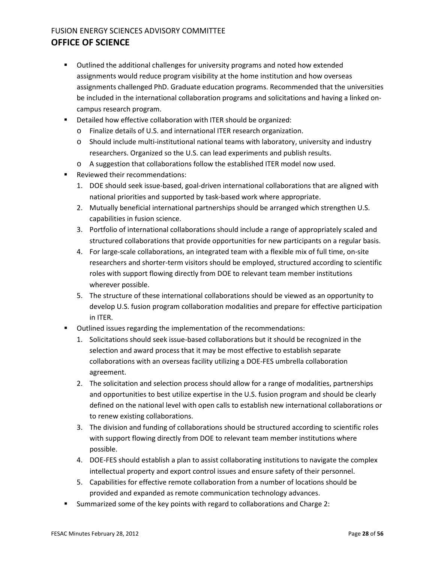- Outlined the additional challenges for university programs and noted how extended assignments would reduce program visibility at the home institution and how overseas assignments challenged PhD. Graduate education programs. Recommended that the universities be included in the international collaboration programs and solicitations and having a linked oncampus research program.
- **Detailed how effective collaboration with ITER should be organized:** 
	- o Finalize details of U.S. and international ITER research organization.
	- o Should include multi-institutional national teams with laboratory, university and industry researchers. Organized so the U.S. can lead experiments and publish results.
	- o A suggestion that collaborations follow the established ITER model now used.
- Reviewed their recommendations:
	- 1. DOE should seek issue-based, goal-driven international collaborations that are aligned with national priorities and supported by task-based work where appropriate.
	- 2. Mutually beneficial international partnerships should be arranged which strengthen U.S. capabilities in fusion science.
	- 3. Portfolio of international collaborations should include a range of appropriately scaled and structured collaborations that provide opportunities for new participants on a regular basis.
	- 4. For large-scale collaborations, an integrated team with a flexible mix of full time, on-site researchers and shorter-term visitors should be employed, structured according to scientific roles with support flowing directly from DOE to relevant team member institutions wherever possible.
	- 5. The structure of these international collaborations should be viewed as an opportunity to develop U.S. fusion program collaboration modalities and prepare for effective participation in ITER.
- Outlined issues regarding the implementation of the recommendations:
	- 1. Solicitations should seek issue-based collaborations but it should be recognized in the selection and award process that it may be most effective to establish separate collaborations with an overseas facility utilizing a DOE-FES umbrella collaboration agreement.
	- 2. The solicitation and selection process should allow for a range of modalities, partnerships and opportunities to best utilize expertise in the U.S. fusion program and should be clearly defined on the national level with open calls to establish new international collaborations or to renew existing collaborations.
	- 3. The division and funding of collaborations should be structured according to scientific roles with support flowing directly from DOE to relevant team member institutions where possible.
	- 4. DOE-FES should establish a plan to assist collaborating institutions to navigate the complex intellectual property and export control issues and ensure safety of their personnel.
	- 5. Capabilities for effective remote collaboration from a number of locations should be provided and expanded as remote communication technology advances.
- Summarized some of the key points with regard to collaborations and Charge 2: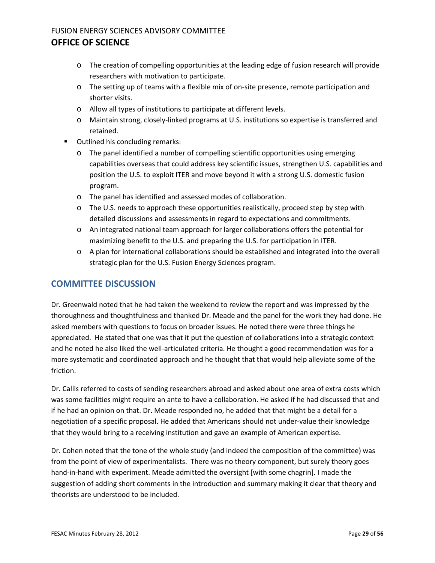- o The creation of compelling opportunities at the leading edge of fusion research will provide researchers with motivation to participate.
- o The setting up of teams with a flexible mix of on-site presence, remote participation and shorter visits.
- o Allow all types of institutions to participate at different levels.
- o Maintain strong, closely-linked programs at U.S. institutions so expertise is transferred and retained.
- **•** Outlined his concluding remarks:
	- o The panel identified a number of compelling scientific opportunities using emerging capabilities overseas that could address key scientific issues, strengthen U.S. capabilities and position the U.S. to exploit ITER and move beyond it with a strong U.S. domestic fusion program.
	- o The panel has identified and assessed modes of collaboration.
	- $\circ$  The U.S. needs to approach these opportunities realistically, proceed step by step with detailed discussions and assessments in regard to expectations and commitments.
	- o An integrated national team approach for larger collaborations offers the potential for maximizing benefit to the U.S. and preparing the U.S. for participation in ITER.
	- o A plan for international collaborations should be established and integrated into the overall strategic plan for the U.S. Fusion Energy Sciences program.

#### **COMMITTEE DISCUSSION**

Dr. Greenwald noted that he had taken the weekend to review the report and was impressed by the thoroughness and thoughtfulness and thanked Dr. Meade and the panel for the work they had done. He asked members with questions to focus on broader issues. He noted there were three things he appreciated. He stated that one was that it put the question of collaborations into a strategic context and he noted he also liked the well-articulated criteria. He thought a good recommendation was for a more systematic and coordinated approach and he thought that that would help alleviate some of the friction.

Dr. Callis referred to costs of sending researchers abroad and asked about one area of extra costs which was some facilities might require an ante to have a collaboration. He asked if he had discussed that and if he had an opinion on that. Dr. Meade responded no, he added that that might be a detail for a negotiation of a specific proposal. He added that Americans should not under-value their knowledge that they would bring to a receiving institution and gave an example of American expertise.

Dr. Cohen noted that the tone of the whole study (and indeed the composition of the committee) was from the point of view of experimentalists. There was no theory component, but surely theory goes hand-in-hand with experiment. Meade admitted the oversight [with some chagrin]. I made the suggestion of adding short comments in the introduction and summary making it clear that theory and theorists are understood to be included.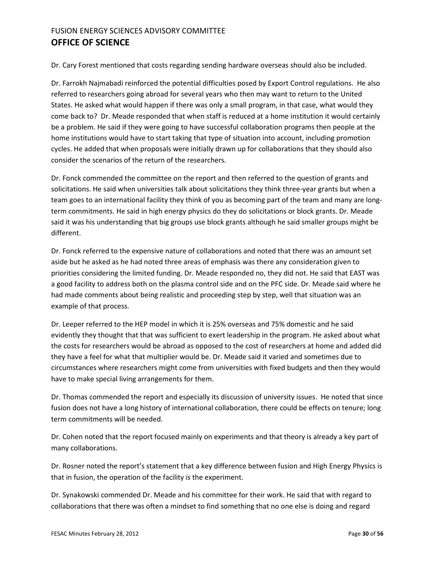Dr. Cary Forest mentioned that costs regarding sending hardware overseas should also be included.

Dr. Farrokh Najmabadi reinforced the potential difficulties posed by Export Control regulations. He also referred to researchers going abroad for several years who then may want to return to the United States. He asked what would happen if there was only a small program, in that case, what would they come back to? Dr. Meade responded that when staff is reduced at a home institution it would certainly be a problem. He said if they were going to have successful collaboration programs then people at the home institutions would have to start taking that type of situation into account, including promotion cycles. He added that when proposals were initially drawn up for collaborations that they should also consider the scenarios of the return of the researchers.

Dr. Fonck commended the committee on the report and then referred to the question of grants and solicitations. He said when universities talk about solicitations they think three-year grants but when a team goes to an international facility they think of you as becoming part of the team and many are longterm commitments. He said in high energy physics do they do solicitations or block grants. Dr. Meade said it was his understanding that big groups use block grants although he said smaller groups might be different.

Dr. Fonck referred to the expensive nature of collaborations and noted that there was an amount set aside but he asked as he had noted three areas of emphasis was there any consideration given to priorities considering the limited funding. Dr. Meade responded no, they did not. He said that EAST was a good facility to address both on the plasma control side and on the PFC side. Dr. Meade said where he had made comments about being realistic and proceeding step by step, well that situation was an example of that process.

Dr. Leeper referred to the HEP model in which it is 25% overseas and 75% domestic and he said evidently they thought that that was sufficient to exert leadership in the program. He asked about what the costs for researchers would be abroad as opposed to the cost of researchers at home and added did they have a feel for what that multiplier would be. Dr. Meade said it varied and sometimes due to circumstances where researchers might come from universities with fixed budgets and then they would have to make special living arrangements for them.

Dr. Thomas commended the report and especially its discussion of university issues. He noted that since fusion does not have a long history of international collaboration, there could be effects on tenure; long term commitments will be needed.

Dr. Cohen noted that the report focused mainly on experiments and that theory is already a key part of many collaborations.

Dr. Rosner noted the report's statement that a key difference between fusion and High Energy Physics is that in fusion, the operation of the facility *is* the experiment.

Dr. Synakowski commended Dr. Meade and his committee for their work. He said that with regard to collaborations that there was often a mindset to find something that no one else is doing and regard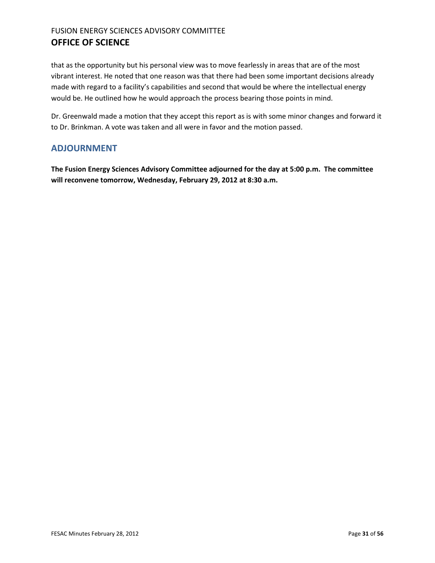that as the opportunity but his personal view was to move fearlessly in areas that are of the most vibrant interest. He noted that one reason was that there had been some important decisions already made with regard to a facility's capabilities and second that would be where the intellectual energy would be. He outlined how he would approach the process bearing those points in mind.

Dr. Greenwald made a motion that they accept this report as is with some minor changes and forward it to Dr. Brinkman. A vote was taken and all were in favor and the motion passed.

#### <span id="page-30-0"></span>**ADJOURNMENT**

**The Fusion Energy Sciences Advisory Committee adjourned for the day at 5:00 p.m. The committee will reconvene tomorrow, Wednesday, February 29, 2012 at 8:30 a.m.**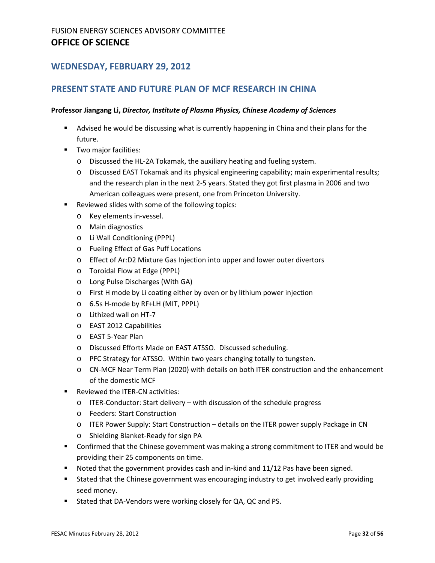#### **WEDNESDAY, FEBRUARY 29, 2012**

#### <span id="page-31-0"></span>**PRESENT STATE AND FUTURE PLAN OF MCF RESEARCH IN CHINA**

#### **Professor Jiangang Li,** *Director, Institute of Plasma Physics, Chinese Academy of Sciences*

- Advised he would be discussing what is currently happening in China and their plans for the future.
- **Two major facilities:** 
	- o Discussed the HL-2A Tokamak, the auxiliary heating and fueling system.
	- o Discussed EAST Tokamak and its physical engineering capability; main experimental results; and the research plan in the next 2-5 years. Stated they got first plasma in 2006 and two American colleagues were present, one from Princeton University.
- **Reviewed slides with some of the following topics:** 
	- o Key elements in-vessel.
	- o Main diagnostics
	- o Li Wall Conditioning (PPPL)
	- o Fueling Effect of Gas Puff Locations
	- o Effect of Ar:D2 Mixture Gas Injection into upper and lower outer divertors
	- o Toroidal Flow at Edge (PPPL)
	- o Long Pulse Discharges (With GA)
	- o First H mode by Li coating either by oven or by lithium power injection
	- o 6.5s H-mode by RF+LH (MIT, PPPL)
	- o Lithized wall on HT-7
	- o EAST 2012 Capabilities
	- o EAST 5-Year Plan
	- o Discussed Efforts Made on EAST ATSSO. Discussed scheduling.
	- o PFC Strategy for ATSSO. Within two years changing totally to tungsten.
	- o CN-MCF Near Term Plan (2020) with details on both ITER construction and the enhancement of the domestic MCF
- Reviewed the ITER-CN activities:
	- o ITER-Conductor: Start delivery with discussion of the schedule progress
	- o Feeders: Start Construction
	- o ITER Power Supply: Start Construction details on the ITER power supply Package in CN
	- o Shielding Blanket-Ready for sign PA
- Confirmed that the Chinese government was making a strong commitment to ITER and would be providing their 25 components on time.
- Noted that the government provides cash and in-kind and 11/12 Pas have been signed.
- **Stated that the Chinese government was encouraging industry to get involved early providing** seed money.
- **Stated that DA-Vendors were working closely for QA, QC and PS.**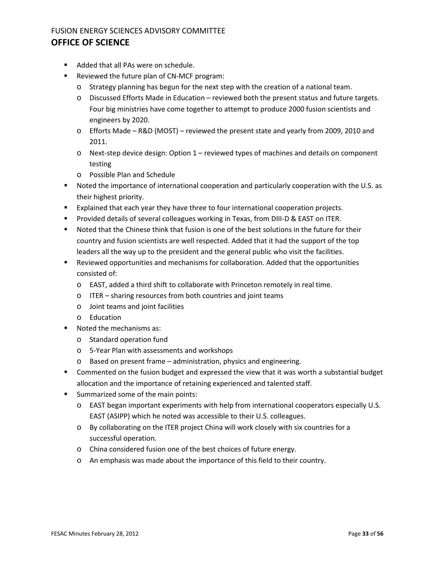- Added that all PAs were on schedule.
- Reviewed the future plan of CN-MCF program:
	- o Strategy planning has begun for the next step with the creation of a national team.
	- o Discussed Efforts Made in Education reviewed both the present status and future targets. Four big ministries have come together to attempt to produce 2000 fusion scientists and engineers by 2020.
	- o Efforts Made R&D (MOST) reviewed the present state and yearly from 2009, 2010 and 2011.
	- o Next-step device design: Option 1 reviewed types of machines and details on component testing
	- o Possible Plan and Schedule
- Noted the importance of international cooperation and particularly cooperation with the U.S. as their highest priority.
- Explained that each year they have three to four international cooperation projects.
- **Provided details of several colleagues working in Texas, from DIII-D & EAST on ITER.**
- Noted that the Chinese think that fusion is one of the best solutions in the future for their country and fusion scientists are well respected. Added that it had the support of the top leaders all the way up to the president and the general public who visit the facilities.
- Reviewed opportunities and mechanisms for collaboration. Added that the opportunities consisted of:
	- o EAST, added a third shift to collaborate with Princeton remotely in real time.
	- o ITER sharing resources from both countries and joint teams
	- o Joint teams and joint facilities
	- o Education
- Noted the mechanisms as:
	- o Standard operation fund
	- o 5-Year Plan with assessments and workshops
	- o Based on present frame administration, physics and engineering.
- Commented on the fusion budget and expressed the view that it was worth a substantial budget allocation and the importance of retaining experienced and talented staff.
- **Summarized some of the main points:** 
	- o EAST began important experiments with help from international cooperators especially U.S. EAST (ASIPP) which he noted was accessible to their U.S. colleagues.
	- o By collaborating on the ITER project China will work closely with six countries for a successful operation.
	- o China considered fusion one of the best choices of future energy.
	- o An emphasis was made about the importance of this field to their country.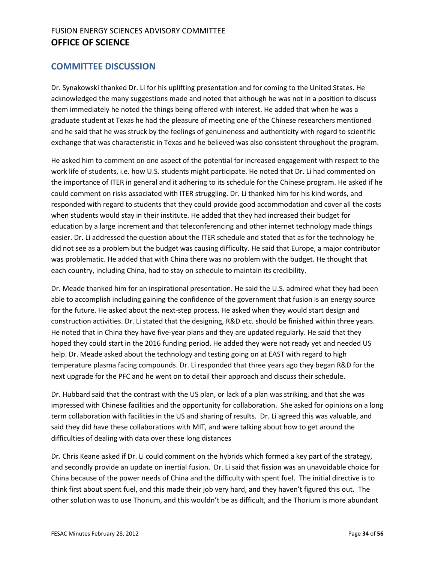#### **COMMITTEE DISCUSSION**

Dr. Synakowski thanked Dr. Li for his uplifting presentation and for coming to the United States. He acknowledged the many suggestions made and noted that although he was not in a position to discuss them immediately he noted the things being offered with interest. He added that when he was a graduate student at Texas he had the pleasure of meeting one of the Chinese researchers mentioned and he said that he was struck by the feelings of genuineness and authenticity with regard to scientific exchange that was characteristic in Texas and he believed was also consistent throughout the program.

He asked him to comment on one aspect of the potential for increased engagement with respect to the work life of students, i.e. how U.S. students might participate. He noted that Dr. Li had commented on the importance of ITER in general and it adhering to its schedule for the Chinese program. He asked if he could comment on risks associated with ITER struggling. Dr. Li thanked him for his kind words, and responded with regard to students that they could provide good accommodation and cover all the costs when students would stay in their institute. He added that they had increased their budget for education by a large increment and that teleconferencing and other internet technology made things easier. Dr. Li addressed the question about the ITER schedule and stated that as for the technology he did not see as a problem but the budget was causing difficulty. He said that Europe, a major contributor was problematic. He added that with China there was no problem with the budget. He thought that each country, including China, had to stay on schedule to maintain its credibility.

Dr. Meade thanked him for an inspirational presentation. He said the U.S. admired what they had been able to accomplish including gaining the confidence of the government that fusion is an energy source for the future. He asked about the next-step process. He asked when they would start design and construction activities. Dr. Li stated that the designing, R&D etc. should be finished within three years. He noted that in China they have five-year plans and they are updated regularly. He said that they hoped they could start in the 2016 funding period. He added they were not ready yet and needed US help. Dr. Meade asked about the technology and testing going on at EAST with regard to high temperature plasma facing compounds. Dr. Li responded that three years ago they began R&D for the next upgrade for the PFC and he went on to detail their approach and discuss their schedule.

Dr. Hubbard said that the contrast with the US plan, or lack of a plan was striking, and that she was impressed with Chinese facilities and the opportunity for collaboration. She asked for opinions on a long term collaboration with facilities in the US and sharing of results. Dr. Li agreed this was valuable, and said they did have these collaborations with MIT, and were talking about how to get around the difficulties of dealing with data over these long distances

Dr. Chris Keane asked if Dr. Li could comment on the hybrids which formed a key part of the strategy, and secondly provide an update on inertial fusion. Dr. Li said that fission was an unavoidable choice for China because of the power needs of China and the difficulty with spent fuel. The initial directive is to think first about spent fuel, and this made their job very hard, and they haven't figured this out. The other solution was to use Thorium, and this wouldn't be as difficult, and the Thorium is more abundant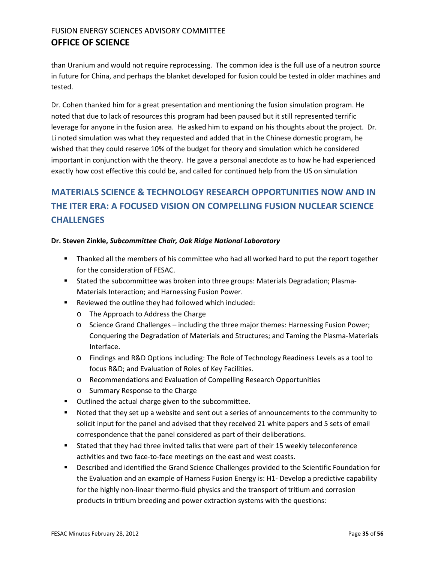than Uranium and would not require reprocessing. The common idea is the full use of a neutron source in future for China, and perhaps the blanket developed for fusion could be tested in older machines and tested.

Dr. Cohen thanked him for a great presentation and mentioning the fusion simulation program. He noted that due to lack of resources this program had been paused but it still represented terrific leverage for anyone in the fusion area. He asked him to expand on his thoughts about the project. Dr. Li noted simulation was what they requested and added that in the Chinese domestic program, he wished that they could reserve 10% of the budget for theory and simulation which he considered important in conjunction with the theory. He gave a personal anecdote as to how he had experienced exactly how cost effective this could be, and called for continued help from the US on simulation

# <span id="page-34-0"></span>**MATERIALS SCIENCE & TECHNOLOGY RESEARCH OPPORTUNITIES NOW AND IN THE ITER ERA: A FOCUSED VISION ON COMPELLING FUSION NUCLEAR SCIENCE CHALLENGES**

#### **Dr. Steven Zinkle,** *Subcommittee Chair, Oak Ridge National Laboratory*

- Thanked all the members of his committee who had all worked hard to put the report together for the consideration of FESAC.
- Stated the subcommittee was broken into three groups: Materials Degradation; Plasma-Materials Interaction; and Harnessing Fusion Power.
- Reviewed the outline they had followed which included:
	- o The Approach to Address the Charge
	- o Science Grand Challenges including the three major themes: Harnessing Fusion Power; Conquering the Degradation of Materials and Structures; and Taming the Plasma-Materials Interface.
	- o Findings and R&D Options including: The Role of Technology Readiness Levels as a tool to focus R&D; and Evaluation of Roles of Key Facilities.
	- o Recommendations and Evaluation of Compelling Research Opportunities
	- o Summary Response to the Charge
- **Dutlined the actual charge given to the subcommittee.**
- Noted that they set up a website and sent out a series of announcements to the community to solicit input for the panel and advised that they received 21 white papers and 5 sets of email correspondence that the panel considered as part of their deliberations.
- Stated that they had three invited talks that were part of their 15 weekly teleconference activities and two face-to-face meetings on the east and west coasts.
- Described and identified the Grand Science Challenges provided to the Scientific Foundation for the Evaluation and an example of Harness Fusion Energy is: H1- Develop a predictive capability for the highly non-linear thermo-fluid physics and the transport of tritium and corrosion products in tritium breeding and power extraction systems with the questions: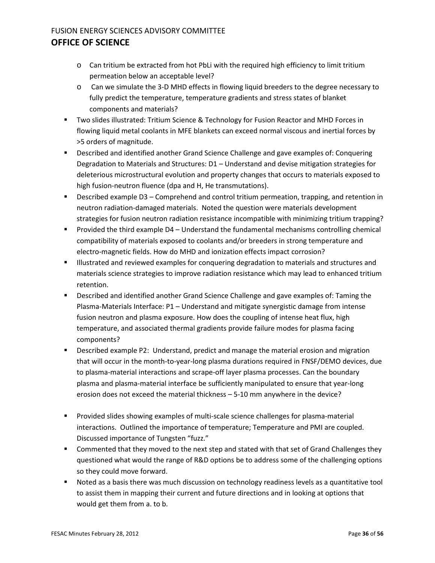- o Can tritium be extracted from hot PbLi with the required high efficiency to limit tritium permeation below an acceptable level?
- o Can we simulate the 3-D MHD effects in flowing liquid breeders to the degree necessary to fully predict the temperature, temperature gradients and stress states of blanket components and materials?
- **TWO slides illustrated: Tritium Science & Technology for Fusion Reactor and MHD Forces in** flowing liquid metal coolants in MFE blankets can exceed normal viscous and inertial forces by >5 orders of magnitude.
- Described and identified another Grand Science Challenge and gave examples of: Conquering Degradation to Materials and Structures: D1 – Understand and devise mitigation strategies for deleterious microstructural evolution and property changes that occurs to materials exposed to high fusion-neutron fluence (dpa and H, He transmutations).
- Described example D3 Comprehend and control tritium permeation, trapping, and retention in neutron radiation-damaged materials. Noted the question were materials development strategies for fusion neutron radiation resistance incompatible with minimizing tritium trapping?
- **Provided the third example D4 Understand the fundamental mechanisms controlling chemical** compatibility of materials exposed to coolants and/or breeders in strong temperature and electro-magnetic fields. How do MHD and ionization effects impact corrosion?
- Illustrated and reviewed examples for conquering degradation to materials and structures and materials science strategies to improve radiation resistance which may lead to enhanced tritium retention.
- **Described and identified another Grand Science Challenge and gave examples of: Taming the** Plasma-Materials Interface: P1 – Understand and mitigate synergistic damage from intense fusion neutron and plasma exposure. How does the coupling of intense heat flux, high temperature, and associated thermal gradients provide failure modes for plasma facing components?
- **Described example P2: Understand, predict and manage the material erosion and migration** that will occur in the month-to-year-long plasma durations required in FNSF/DEMO devices, due to plasma-material interactions and scrape-off layer plasma processes. Can the boundary plasma and plasma-material interface be sufficiently manipulated to ensure that year-long erosion does not exceed the material thickness – 5-10 mm anywhere in the device?
- **Provided slides showing examples of multi-scale science challenges for plasma-material** interactions. Outlined the importance of temperature; Temperature and PMI are coupled. Discussed importance of Tungsten "fuzz."
- **Commented that they moved to the next step and stated with that set of Grand Challenges they** questioned what would the range of R&D options be to address some of the challenging options so they could move forward.
- **Noted as a basis there was much discussion on technology readiness levels as a quantitative tool** to assist them in mapping their current and future directions and in looking at options that would get them from a. to b.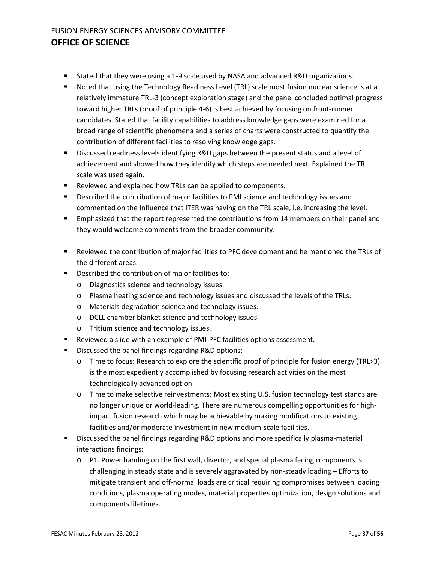- Stated that they were using a 1-9 scale used by NASA and advanced R&D organizations.
- Noted that using the Technology Readiness Level (TRL) scale most fusion nuclear science is at a relatively immature TRL-3 (concept exploration stage) and the panel concluded optimal progress toward higher TRLs (proof of principle 4-6) is best achieved by focusing on front-runner candidates. Stated that facility capabilities to address knowledge gaps were examined for a broad range of scientific phenomena and a series of charts were constructed to quantify the contribution of different facilities to resolving knowledge gaps.
- **Discussed readiness levels identifying R&D gaps between the present status and a level of** achievement and showed how they identify which steps are needed next. Explained the TRL scale was used again.
- **EXECT** Reviewed and explained how TRLs can be applied to components.
- **Described the contribution of major facilities to PMI science and technology issues and** commented on the influence that ITER was having on the TRL scale, i.e. increasing the level.
- **Emphasized that the report represented the contributions from 14 members on their panel and** they would welcome comments from the broader community.
- Reviewed the contribution of major facilities to PFC development and he mentioned the TRLs of the different areas.
- **Described the contribution of major facilities to:** 
	- o Diagnostics science and technology issues.
	- o Plasma heating science and technology issues and discussed the levels of the TRLs.
	- o Materials degradation science and technology issues.
	- o DCLL chamber blanket science and technology issues.
	- o Tritium science and technology issues.
- Reviewed a slide with an example of PMI-PFC facilities options assessment.
- **Discussed the panel findings regarding R&D options:** 
	- o Time to focus: Research to explore the scientific proof of principle for fusion energy (TRL>3) is the most expediently accomplished by focusing research activities on the most technologically advanced option.
	- o Time to make selective reinvestments: Most existing U.S. fusion technology test stands are no longer unique or world-leading. There are numerous compelling opportunities for highimpact fusion research which may be achievable by making modifications to existing facilities and/or moderate investment in new medium-scale facilities.
- Discussed the panel findings regarding R&D options and more specifically plasma-material interactions findings:
	- o P1. Power handing on the first wall, divertor, and special plasma facing components is challenging in steady state and is severely aggravated by non-steady loading – Efforts to mitigate transient and off-normal loads are critical requiring compromises between loading conditions, plasma operating modes, material properties optimization, design solutions and components lifetimes.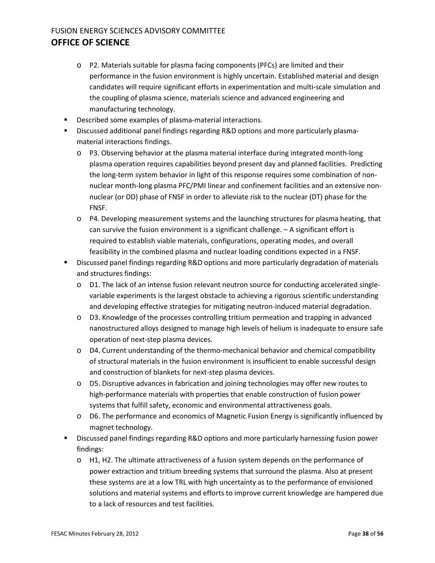- o P2. Materials suitable for plasma facing components (PFCs) are limited and their performance in the fusion environment is highly uncertain. Established material and design candidates will require significant efforts in experimentation and multi-scale simulation and the coupling of plasma science, materials science and advanced engineering and manufacturing technology.
- Described some examples of plasma-material interactions.
- Discussed additional panel findings regarding R&D options and more particularly plasmamaterial interactions findings.
	- o P3. Observing behavior at the plasma material interface during integrated month-long plasma operation requires capabilities beyond present day and planned facilities. Predicting the long-term system behavior in light of this response requires some combination of nonnuclear month-long plasma PFC/PMI linear and confinement facilities and an extensive nonnuclear (or DD) phase of FNSF in order to alleviate risk to the nuclear (DT) phase for the FNSF.
	- o P4. Developing measurement systems and the launching structures for plasma heating, that can survive the fusion environment is a significant challenge. – A significant effort is required to establish viable materials, configurations, operating modes, and overall feasibility in the combined plasma and nuclear loading conditions expected in a FNSF.
- Discussed panel findings regarding R&D options and more particularly degradation of materials and structures findings:
	- o D1. The lack of an intense fusion relevant neutron source for conducting accelerated singlevariable experiments is the largest obstacle to achieving a rigorous scientific understanding and developing effective strategies for mitigating neutron-induced material degradation.
	- $\circ$  D3. Knowledge of the processes controlling tritium permeation and trapping in advanced nanostructured alloys designed to manage high levels of helium is inadequate to ensure safe operation of next-step plasma devices.
	- o D4. Current understanding of the thermo-mechanical behavior and chemical compatibility of structural materials in the fusion environment is insufficient to enable successful design and construction of blankets for next-step plasma devices.
	- o D5. Disruptive advances in fabrication and joining technologies may offer new routes to high-performance materials with properties that enable construction of fusion power systems that fulfill safety, economic and environmental attractiveness goals.
	- o D6. The performance and economics of Magnetic Fusion Energy is significantly influenced by magnet technology.
- Discussed panel findings regarding R&D options and more particularly harnessing fusion power findings:
	- o H1, H2. The ultimate attractiveness of a fusion system depends on the performance of power extraction and tritium breeding systems that surround the plasma. Also at present these systems are at a low TRL with high uncertainty as to the performance of envisioned solutions and material systems and efforts to improve current knowledge are hampered due to a lack of resources and test facilities.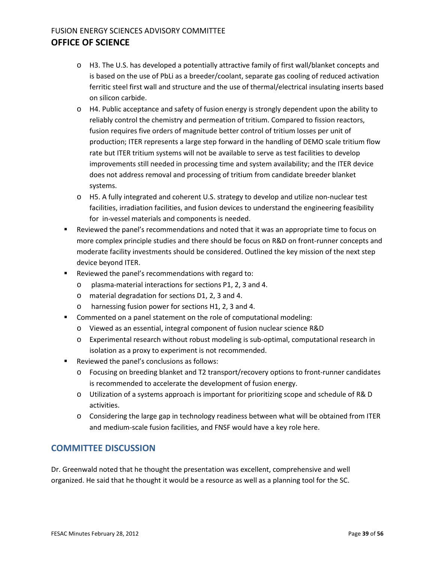- o H3. The U.S. has developed a potentially attractive family of first wall/blanket concepts and is based on the use of PbLi as a breeder/coolant, separate gas cooling of reduced activation ferritic steel first wall and structure and the use of thermal/electrical insulating inserts based on silicon carbide.
- o H4. Public acceptance and safety of fusion energy is strongly dependent upon the ability to reliably control the chemistry and permeation of tritium. Compared to fission reactors, fusion requires five orders of magnitude better control of tritium losses per unit of production; ITER represents a large step forward in the handling of DEMO scale tritium flow rate but ITER tritium systems will not be available to serve as test facilities to develop improvements still needed in processing time and system availability; and the ITER device does not address removal and processing of tritium from candidate breeder blanket systems.
- o H5. A fully integrated and coherent U.S. strategy to develop and utilize non-nuclear test facilities, irradiation facilities, and fusion devices to understand the engineering feasibility for in-vessel materials and components is needed.
- Reviewed the panel's recommendations and noted that it was an appropriate time to focus on more complex principle studies and there should be focus on R&D on front-runner concepts and moderate facility investments should be considered. Outlined the key mission of the next step device beyond ITER.
- **Reviewed the panel's recommendations with regard to:** 
	- o plasma-material interactions for sections P1, 2, 3 and 4.
	- o material degradation for sections D1, 2, 3 and 4.
	- o harnessing fusion power for sections H1, 2, 3 and 4.
- Commented on a panel statement on the role of computational modeling:
	- o Viewed as an essential, integral component of fusion nuclear science R&D
	- o Experimental research without robust modeling is sub-optimal, computational research in isolation as a proxy to experiment is not recommended.
- Reviewed the panel's conclusions as follows:
	- o Focusing on breeding blanket and T2 transport/recovery options to front-runner candidates is recommended to accelerate the development of fusion energy.
	- o Utilization of a systems approach is important for prioritizing scope and schedule of R& D activities.
	- o Considering the large gap in technology readiness between what will be obtained from ITER and medium-scale fusion facilities, and FNSF would have a key role here.

#### **COMMITTEE DISCUSSION**

Dr. Greenwald noted that he thought the presentation was excellent, comprehensive and well organized. He said that he thought it would be a resource as well as a planning tool for the SC.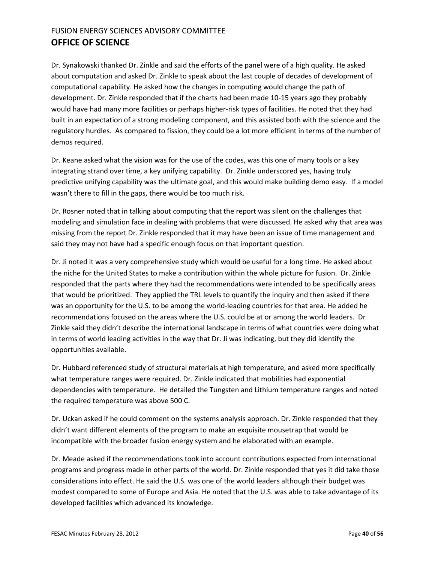Dr. Synakowski thanked Dr. Zinkle and said the efforts of the panel were of a high quality. He asked about computation and asked Dr. Zinkle to speak about the last couple of decades of development of computational capability. He asked how the changes in computing would change the path of development. Dr. Zinkle responded that if the charts had been made 10-15 years ago they probably would have had many more facilities or perhaps higher-risk types of facilities. He noted that they had built in an expectation of a strong modeling component, and this assisted both with the science and the regulatory hurdles. As compared to fission, they could be a lot more efficient in terms of the number of demos required.

Dr. Keane asked what the vision was for the use of the codes, was this one of many tools or a key integrating strand over time, a key unifying capability. Dr. Zinkle underscored yes, having truly predictive unifying capability was the ultimate goal, and this would make building demo easy. If a model wasn't there to fill in the gaps, there would be too much risk.

Dr. Rosner noted that in talking about computing that the report was silent on the challenges that modeling and simulation face in dealing with problems that were discussed. He asked why that area was missing from the report Dr. Zinkle responded that it may have been an issue of time management and said they may not have had a specific enough focus on that important question.

Dr. Ji noted it was a very comprehensive study which would be useful for a long time. He asked about the niche for the United States to make a contribution within the whole picture for fusion. Dr. Zinkle responded that the parts where they had the recommendations were intended to be specifically areas that would be prioritized. They applied the TRL levels to quantify the inquiry and then asked if there was an opportunity for the U.S. to be among the world-leading countries for that area. He added he recommendations focused on the areas where the U.S. could be at or among the world leaders. Dr Zinkle said they didn't describe the international landscape in terms of what countries were doing what in terms of world leading activities in the way that Dr. Ji was indicating, but they did identify the opportunities available.

Dr. Hubbard referenced study of structural materials at high temperature, and asked more specifically what temperature ranges were required. Dr. Zinkle indicated that mobilities had exponential dependencies with temperature. He detailed the Tungsten and Lithium temperature ranges and noted the required temperature was above 500 C.

Dr. Uckan asked if he could comment on the systems analysis approach. Dr. Zinkle responded that they didn't want different elements of the program to make an exquisite mousetrap that would be incompatible with the broader fusion energy system and he elaborated with an example.

Dr. Meade asked if the recommendations took into account contributions expected from international programs and progress made in other parts of the world. Dr. Zinkle responded that yes it did take those considerations into effect. He said the U.S. was one of the world leaders although their budget was modest compared to some of Europe and Asia. He noted that the U.S. was able to take advantage of its developed facilities which advanced its knowledge.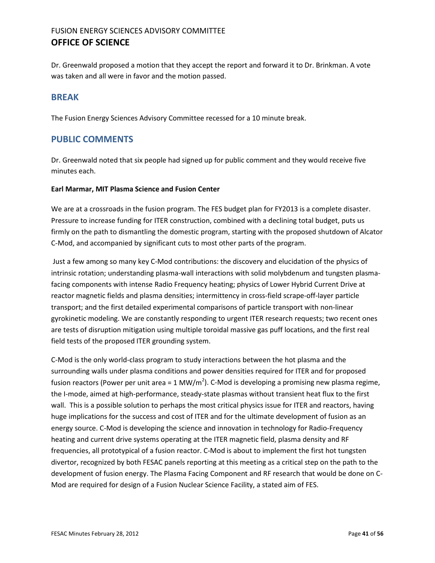Dr. Greenwald proposed a motion that they accept the report and forward it to Dr. Brinkman. A vote was taken and all were in favor and the motion passed.

#### <span id="page-40-0"></span>**BREAK**

The Fusion Energy Sciences Advisory Committee recessed for a 10 minute break.

#### <span id="page-40-1"></span>**PUBLIC COMMENTS**

Dr. Greenwald noted that six people had signed up for public comment and they would receive five minutes each.

#### **Earl Marmar, MIT Plasma Science and Fusion Center**

We are at a crossroads in the fusion program. The FES budget plan for FY2013 is a complete disaster. Pressure to increase funding for ITER construction, combined with a declining total budget, puts us firmly on the path to dismantling the domestic program, starting with the proposed shutdown of Alcator C-Mod, and accompanied by significant cuts to most other parts of the program.

Just a few among so many key C-Mod contributions: the discovery and elucidation of the physics of intrinsic rotation; understanding plasma-wall interactions with solid molybdenum and tungsten plasmafacing components with intense Radio Frequency heating; physics of Lower Hybrid Current Drive at reactor magnetic fields and plasma densities; intermittency in cross-field scrape-off-layer particle transport; and the first detailed experimental comparisons of particle transport with non-linear gyrokinetic modeling. We are constantly responding to urgent ITER research requests; two recent ones are tests of disruption mitigation using multiple toroidal massive gas puff locations, and the first real field tests of the proposed ITER grounding system.

C-Mod is the only world-class program to study interactions between the hot plasma and the surrounding walls under plasma conditions and power densities required for ITER and for proposed fusion reactors (Power per unit area = 1 MW/m<sup>2</sup>). C-Mod is developing a promising new plasma regime, the I-mode, aimed at high-performance, steady-state plasmas without transient heat flux to the first wall. This is a possible solution to perhaps the most critical physics issue for ITER and reactors, having huge implications for the success and cost of ITER and for the ultimate development of fusion as an energy source. C-Mod is developing the science and innovation in technology for Radio-Frequency heating and current drive systems operating at the ITER magnetic field, plasma density and RF frequencies, all prototypical of a fusion reactor. C-Mod is about to implement the first hot tungsten divertor, recognized by both FESAC panels reporting at this meeting as a critical step on the path to the development of fusion energy. The Plasma Facing Component and RF research that would be done on C-Mod are required for design of a Fusion Nuclear Science Facility, a stated aim of FES.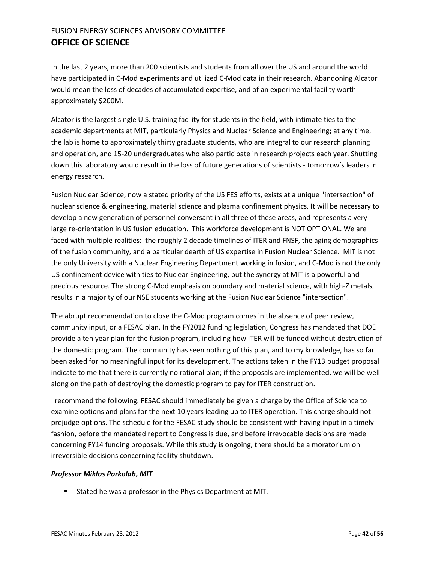In the last 2 years, more than 200 scientists and students from all over the US and around the world have participated in C-Mod experiments and utilized C-Mod data in their research. Abandoning Alcator would mean the loss of decades of accumulated expertise, and of an experimental facility worth approximately \$200M.

Alcator is the largest single U.S. training facility for students in the field, with intimate ties to the academic departments at MIT, particularly Physics and Nuclear Science and Engineering; at any time, the lab is home to approximately thirty graduate students, who are integral to our research planning and operation, and 15-20 undergraduates who also participate in research projects each year. Shutting down this laboratory would result in the loss of future generations of scientists - tomorrow's leaders in energy research.

Fusion Nuclear Science, now a stated priority of the US FES efforts, exists at a unique "intersection" of nuclear science & engineering, material science and plasma confinement physics. It will be necessary to develop a new generation of personnel conversant in all three of these areas, and represents a very large re-orientation in US fusion education. This workforce development is NOT OPTIONAL. We are faced with multiple realities: the roughly 2 decade timelines of ITER and FNSF, the aging demographics of the fusion community, and a particular dearth of US expertise in Fusion Nuclear Science. MIT is not the only University with a Nuclear Engineering Department working in fusion, and C-Mod is not the only US confinement device with ties to Nuclear Engineering, but the synergy at MIT is a powerful and precious resource. The strong C-Mod emphasis on boundary and material science, with high-Z metals, results in a majority of our NSE students working at the Fusion Nuclear Science "intersection".

The abrupt recommendation to close the C-Mod program comes in the absence of peer review, community input, or a FESAC plan. In the FY2012 funding legislation, Congress has mandated that DOE provide a ten year plan for the fusion program, including how ITER will be funded without destruction of the domestic program. The community has seen nothing of this plan, and to my knowledge, has so far been asked for no meaningful input for its development. The actions taken in the FY13 budget proposal indicate to me that there is currently no rational plan; if the proposals are implemented, we will be well along on the path of destroying the domestic program to pay for ITER construction.

I recommend the following. FESAC should immediately be given a charge by the Office of Science to examine options and plans for the next 10 years leading up to ITER operation. This charge should not prejudge options. The schedule for the FESAC study should be consistent with having input in a timely fashion, before the mandated report to Congress is due, and before irrevocable decisions are made concerning FY14 funding proposals. While this study is ongoing, there should be a moratorium on irreversible decisions concerning facility shutdown.

#### *Professor Miklos Porkolab***,** *MIT*

**Stated he was a professor in the Physics Department at MIT.**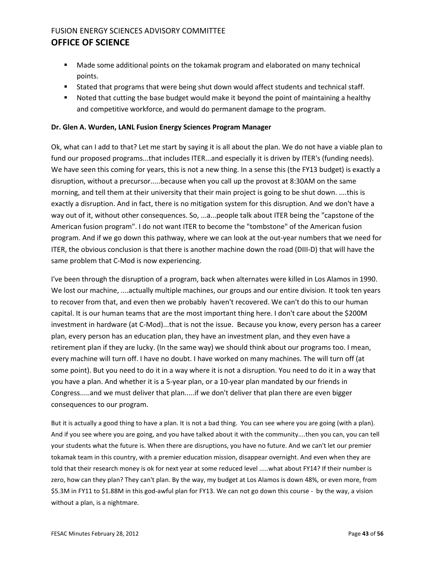- Made some additional points on the tokamak program and elaborated on many technical points.
- Stated that programs that were being shut down would affect students and technical staff.
- Noted that cutting the base budget would make it beyond the point of maintaining a healthy and competitive workforce, and would do permanent damage to the program.

#### **Dr. Glen A. Wurden, LANL Fusion Energy Sciences Program Manager**

Ok, what can I add to that? Let me start by saying it is all about the plan. We do not have a viable plan to fund our proposed programs...that includes ITER...and especially it is driven by ITER's (funding needs). We have seen this coming for years, this is not a new thing. In a sense this (the FY13 budget) is exactly a disruption, without a precursor.....because when you call up the provost at 8:30AM on the same morning, and tell them at their university that their main project is going to be shut down. ....this is exactly a disruption. And in fact, there is no mitigation system for this disruption. And we don't have a way out of it, without other consequences. So, ...a...people talk about ITER being the "capstone of the American fusion program". I do not want ITER to become the "tombstone" of the American fusion program. And if we go down this pathway, where we can look at the out-year numbers that we need for ITER, the obvious conclusion is that there is another machine down the road (DIII-D) that will have the same problem that C-Mod is now experiencing.

I've been through the disruption of a program, back when alternates were killed in Los Alamos in 1990. We lost our machine, ....actually multiple machines, our groups and our entire division. It took ten years to recover from that, and even then we probably haven't recovered. We can't do this to our human capital. It is our human teams that are the most important thing here. I don't care about the \$200M investment in hardware (at C-Mod)...that is not the issue. Because you know, every person has a career plan, every person has an education plan, they have an investment plan, and they even have a retirement plan if they are lucky. (In the same way) we should think about our programs too. I mean, every machine will turn off. I have no doubt. I have worked on many machines. The will turn off (at some point). But you need to do it in a way where it is not a disruption. You need to do it in a way that you have a plan. And whether it is a 5-year plan, or a 10-year plan mandated by our friends in Congress.....and we must deliver that plan.....if we don't deliver that plan there are even bigger consequences to our program.

But it is actually a good thing to have a plan. It is not a bad thing. You can see where you are going (with a plan). And if you see where you are going, and you have talked about it with the community....then you can, you can tell your students what the future is. When there are disruptions, you have no future. And we can't let our premier tokamak team in this country, with a premier education mission, disappear overnight. And even when they are told that their research money is ok for next year at some reduced level .....what about FY14? If their number is zero, how can they plan? They can't plan. By the way, my budget at Los Alamos is down 48%, or even more, from \$5.3M in FY11 to \$1.88M in this god-awful plan for FY13. We can not go down this course - by the way, a vision without a plan, is a nightmare.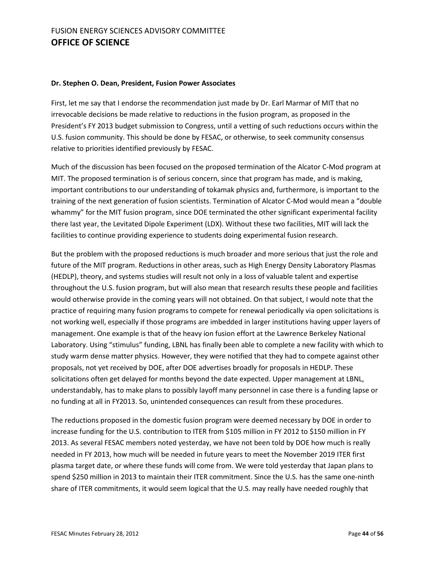#### **Dr. Stephen O. Dean, President, Fusion Power Associates**

First, let me say that I endorse the recommendation just made by Dr. Earl Marmar of MIT that no irrevocable decisions be made relative to reductions in the fusion program, as proposed in the President's FY 2013 budget submission to Congress, until a vetting of such reductions occurs within the U.S. fusion community. This should be done by FESAC, or otherwise, to seek community consensus relative to priorities identified previously by FESAC.

Much of the discussion has been focused on the proposed termination of the Alcator C-Mod program at MIT. The proposed termination is of serious concern, since that program has made, and is making, important contributions to our understanding of tokamak physics and, furthermore, is important to the training of the next generation of fusion scientists. Termination of Alcator C-Mod would mean a "double whammy" for the MIT fusion program, since DOE terminated the other significant experimental facility there last year, the Levitated Dipole Experiment (LDX). Without these two facilities, MIT will lack the facilities to continue providing experience to students doing experimental fusion research.

But the problem with the proposed reductions is much broader and more serious that just the role and future of the MIT program. Reductions in other areas, such as High Energy Density Laboratory Plasmas (HEDLP), theory, and systems studies will result not only in a loss of valuable talent and expertise throughout the U.S. fusion program, but will also mean that research results these people and facilities would otherwise provide in the coming years will not obtained. On that subject, I would note that the practice of requiring many fusion programs to compete for renewal periodically via open solicitations is not working well, especially if those programs are imbedded in larger institutions having upper layers of management. One example is that of the heavy ion fusion effort at the Lawrence Berkeley National Laboratory. Using "stimulus" funding, LBNL has finally been able to complete a new facility with which to study warm dense matter physics. However, they were notified that they had to compete against other proposals, not yet received by DOE, after DOE advertises broadly for proposals in HEDLP. These solicitations often get delayed for months beyond the date expected. Upper management at LBNL, understandably, has to make plans to possibly layoff many personnel in case there is a funding lapse or no funding at all in FY2013. So, unintended consequences can result from these procedures.

The reductions proposed in the domestic fusion program were deemed necessary by DOE in order to increase funding for the U.S. contribution to ITER from \$105 million in FY 2012 to \$150 million in FY 2013. As several FESAC members noted yesterday, we have not been told by DOE how much is really needed in FY 2013, how much will be needed in future years to meet the November 2019 ITER first plasma target date, or where these funds will come from. We were told yesterday that Japan plans to spend \$250 million in 2013 to maintain their ITER commitment. Since the U.S. has the same one-ninth share of ITER commitments, it would seem logical that the U.S. may really have needed roughly that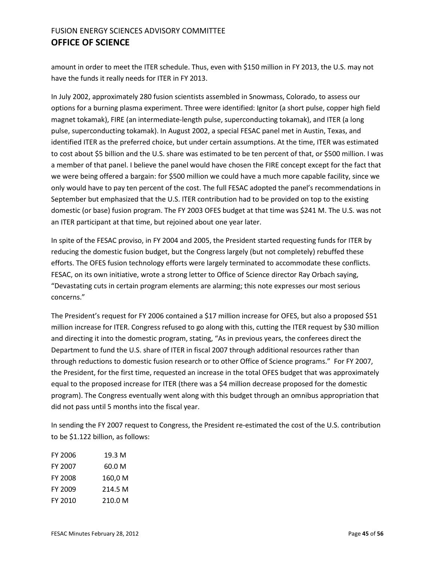amount in order to meet the ITER schedule. Thus, even with \$150 million in FY 2013, the U.S. may not have the funds it really needs for ITER in FY 2013.

In July 2002, approximately 280 fusion scientists assembled in Snowmass, Colorado, to assess our options for a burning plasma experiment. Three were identified: Ignitor (a short pulse, copper high field magnet tokamak), FIRE (an intermediate-length pulse, superconducting tokamak), and ITER (a long pulse, superconducting tokamak). In August 2002, a special FESAC panel met in Austin, Texas, and identified ITER as the preferred choice, but under certain assumptions. At the time, ITER was estimated to cost about \$5 billion and the U.S. share was estimated to be ten percent of that, or \$500 million. I was a member of that panel. I believe the panel would have chosen the FIRE concept except for the fact that we were being offered a bargain: for \$500 million we could have a much more capable facility, since we only would have to pay ten percent of the cost. The full FESAC adopted the panel's recommendations in September but emphasized that the U.S. ITER contribution had to be provided on top to the existing domestic (or base) fusion program. The FY 2003 OFES budget at that time was \$241 M. The U.S. was not an ITER participant at that time, but rejoined about one year later.

In spite of the FESAC proviso, in FY 2004 and 2005, the President started requesting funds for ITER by reducing the domestic fusion budget, but the Congress largely (but not completely) rebuffed these efforts. The OFES fusion technology efforts were largely terminated to accommodate these conflicts. FESAC, on its own initiative, wrote a strong letter to Office of Science director Ray Orbach saying, "Devastating cuts in certain program elements are alarming; this note expresses our most serious concerns."

The President's request for FY 2006 contained a \$17 million increase for OFES, but also a proposed \$51 million increase for ITER. Congress refused to go along with this, cutting the ITER request by \$30 million and directing it into the domestic program, stating, "As in previous years, the conferees direct the Department to fund the U.S. share of ITER in fiscal 2007 through additional resources rather than through reductions to domestic fusion research or to other Office of Science programs." For FY 2007, the President, for the first time, requested an increase in the total OFES budget that was approximately equal to the proposed increase for ITER (there was a \$4 million decrease proposed for the domestic program). The Congress eventually went along with this budget through an omnibus appropriation that did not pass until 5 months into the fiscal year.

In sending the FY 2007 request to Congress, the President re-estimated the cost of the U.S. contribution to be \$1.122 billion, as follows:

| <b>FY 2006</b> | 19.3 M  |
|----------------|---------|
| FY 2007        | 60.0 M  |
| <b>FY 2008</b> | 160,0 M |
| FY 2009        | 214.5 M |
| FY 2010        | 210.0 M |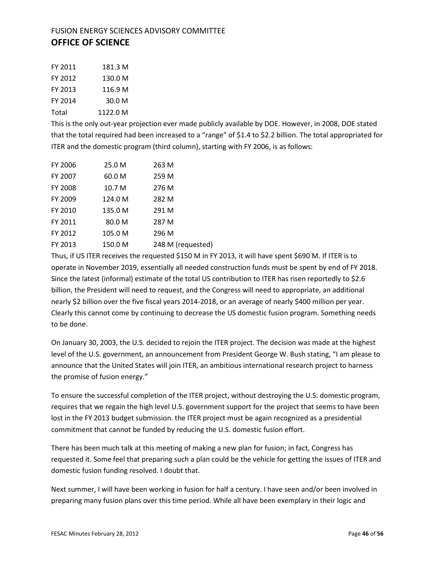| FY 2011 | 181.3 M  |
|---------|----------|
| FY 2012 | 130.0 M  |
| FY 2013 | 116.9 M  |
| FY 2014 | 30.0 M   |
| Total   | 1122.0 M |

This is the only out-year projection ever made publicly available by DOE. However, in 2008, DOE stated that the total required had been increased to a "range" of \$1.4 to \$2.2 billion. The total appropriated for ITER and the domestic program (third column), starting with FY 2006, is as follows:

| <b>FY 2006</b> | 25.0 M  | 263 M             |
|----------------|---------|-------------------|
| FY 2007        | 60.0 M  | 259 M             |
| FY 2008        | 10.7 M  | 276 M             |
| FY 2009        | 124.0 M | 282 M             |
| FY 2010        | 135.0 M | 291 M             |
| FY 2011        | 80.0 M  | 287 M             |
| FY 2012        | 105.0 M | 296 M             |
| FY 2013        | 150.0 M | 248 M (requested) |

Thus, if US ITER receives the requested \$150 M in FY 2013, it will have spent \$690 M. If ITER is to operate in November 2019, essentially all needed construction funds must be spent by end of FY 2018. Since the latest (informal) estimate of the total US contribution to ITER has risen reportedly to \$2.6 billion, the President will need to request, and the Congress will need to appropriate, an additional nearly \$2 billion over the five fiscal years 2014-2018, or an average of nearly \$400 million per year. Clearly this cannot come by continuing to decrease the US domestic fusion program. Something needs to be done.

On January 30, 2003, the U.S. decided to rejoin the ITER project. The decision was made at the highest level of the U.S. government, an announcement from President George W. Bush stating, "I am please to announce that the United States will join ITER, an ambitious international research project to harness the promise of fusion energy."

To ensure the successful completion of the ITER project, without destroying the U.S. domestic program, requires that we regain the high level U.S. government support for the project that seems to have been lost in the FY 2013 budget submission. the ITER project must be again recognized as a presidential commitment that cannot be funded by reducing the U.S. domestic fusion effort.

There has been much talk at this meeting of making a new plan for fusion; in fact, Congress has requested it. Some feel that preparing such a plan could be the vehicle for getting the issues of ITER and domestic fusion funding resolved. I doubt that.

Next summer, I will have been working in fusion for half a century. I have seen and/or been involved in preparing many fusion plans over this time period. While all have been exemplary in their logic and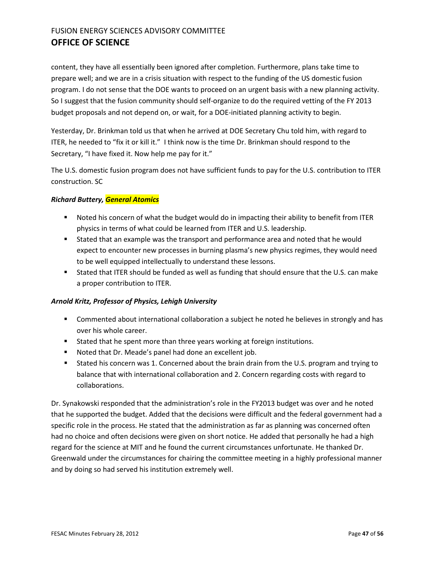content, they have all essentially been ignored after completion. Furthermore, plans take time to prepare well; and we are in a crisis situation with respect to the funding of the US domestic fusion program. I do not sense that the DOE wants to proceed on an urgent basis with a new planning activity. So I suggest that the fusion community should self-organize to do the required vetting of the FY 2013 budget proposals and not depend on, or wait, for a DOE-initiated planning activity to begin.

Yesterday, Dr. Brinkman told us that when he arrived at DOE Secretary Chu told him, with regard to ITER, he needed to "fix it or kill it." I think now is the time Dr. Brinkman should respond to the Secretary, "I have fixed it. Now help me pay for it."

The U.S. domestic fusion program does not have sufficient funds to pay for the U.S. contribution to ITER construction. SC

#### *Richard Buttery, General Atomics*

- Noted his concern of what the budget would do in impacting their ability to benefit from ITER physics in terms of what could be learned from ITER and U.S. leadership.
- Stated that an example was the transport and performance area and noted that he would expect to encounter new processes in burning plasma's new physics regimes, they would need to be well equipped intellectually to understand these lessons.
- Stated that ITER should be funded as well as funding that should ensure that the U.S. can make a proper contribution to ITER.

#### *Arnold Kritz, Professor of Physics, Lehigh University*

- **Commented about international collaboration a subject he noted he believes in strongly and has** over his whole career.
- Stated that he spent more than three years working at foreign institutions.
- **Noted that Dr. Meade's panel had done an excellent job.**
- Stated his concern was 1. Concerned about the brain drain from the U.S. program and trying to balance that with international collaboration and 2. Concern regarding costs with regard to collaborations.

Dr. Synakowski responded that the administration's role in the FY2013 budget was over and he noted that he supported the budget. Added that the decisions were difficult and the federal government had a specific role in the process. He stated that the administration as far as planning was concerned often had no choice and often decisions were given on short notice. He added that personally he had a high regard for the science at MIT and he found the current circumstances unfortunate. He thanked Dr. Greenwald under the circumstances for chairing the committee meeting in a highly professional manner and by doing so had served his institution extremely well.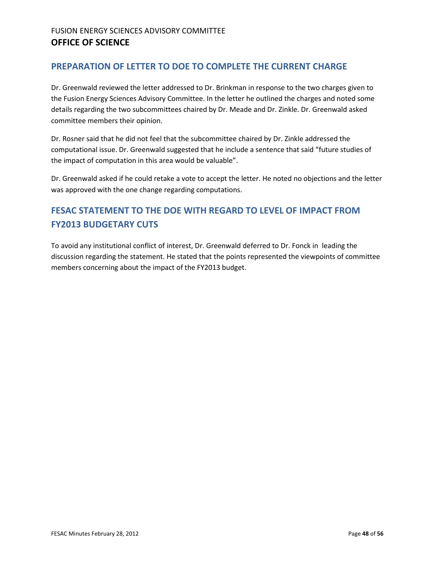#### <span id="page-47-0"></span>**PREPARATION OF LETTER TO DOE TO COMPLETE THE CURRENT CHARGE**

Dr. Greenwald reviewed the letter addressed to Dr. Brinkman in response to the two charges given to the Fusion Energy Sciences Advisory Committee. In the letter he outlined the charges and noted some details regarding the two subcommittees chaired by Dr. Meade and Dr. Zinkle. Dr. Greenwald asked committee members their opinion.

Dr. Rosner said that he did not feel that the subcommittee chaired by Dr. Zinkle addressed the computational issue. Dr. Greenwald suggested that he include a sentence that said "future studies of the impact of computation in this area would be valuable".

Dr. Greenwald asked if he could retake a vote to accept the letter. He noted no objections and the letter was approved with the one change regarding computations.

# **FESAC STATEMENT TO THE DOE WITH REGARD TO LEVEL OF IMPACT FROM FY2013 BUDGETARY CUTS**

To avoid any institutional conflict of interest, Dr. Greenwald deferred to Dr. Fonck in leading the discussion regarding the statement. He stated that the points represented the viewpoints of committee members concerning about the impact of the FY2013 budget.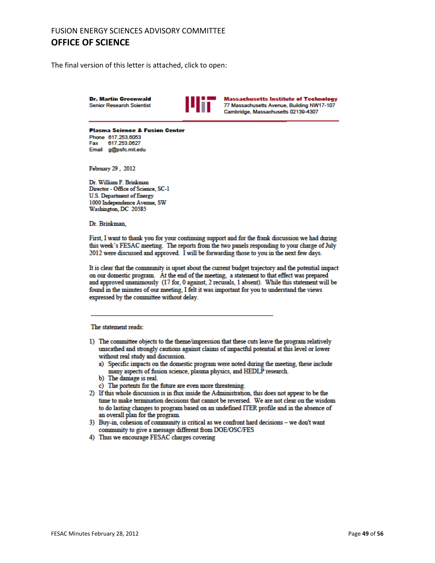The final version of this letter is attached, click to open:

**Dr. Martin Greenwald Senior Research Scientist** 



**Massachusetts Institute of Technology** 77 Massachusetts Avenue, Building NW17-107 Cambridge, Massachusetts 02139-4307

**Plasma Science & Fusion Center** Phone 617.253.6053 Fax 617.253.0627 Email g@psfc.mit.edu

February 29, 2012

Dr. William F. Brinkman Director - Office of Science, SC-1 **U.S. Department of Energy** 1000 Independence Avenue, SW Washington, DC 20585

Dr. Brinkman,

First, I want to thank you for your continuing support and for the frank discussion we had during this week's FESAC meeting. The reports from the two panels responding to your charge of July 2012 were discussed and approved. I will be forwarding those to you in the next few days.

It is clear that the community is upset about the current budget trajectory and the potential impact on our domestic program. At the end of the meeting, a statement to that effect was prepared and approved unanimously (17 for, 0 against, 2 recusals, 1 absent). While this statement will be found in the minutes of our meeting, I felt it was important for you to understand the views expressed by the committee without delay.

#### The statement reads:

- 1) The committee objects to the theme/impression that these cuts leave the program relatively unscathed and strongly cautions against claims of impactful potential at this level or lower without real study and discussion.
	- a) Specific impacts on the domestic program were noted during the meeting, these include many aspects of fusion science, plasma physics, and HEDLP research.
	- b) The damage is real.
	- c) The portents for the future are even more threatening.
- 2) If this whole discussion is in flux inside the Administration, this does not appear to be the time to make termination decisions that cannot be reversed. We are not clear on the wisdom to do lasting changes to program based on an undefined ITER profile and in the absence of an overall plan for the program.
- 3) Buy-in, cohesion of community is critical as we confront hard decisions we don't want community to give a message different from DOE/OSC/FES
- 4) Thus we encourage FESAC charges covering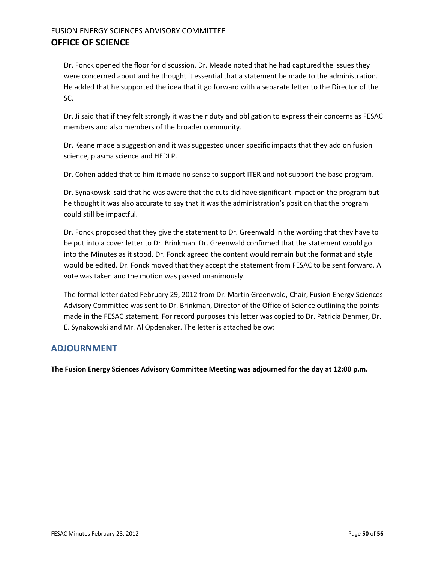Dr. Fonck opened the floor for discussion. Dr. Meade noted that he had captured the issues they were concerned about and he thought it essential that a statement be made to the administration. He added that he supported the idea that it go forward with a separate letter to the Director of the SC.

Dr. Ji said that if they felt strongly it was their duty and obligation to express their concerns as FESAC members and also members of the broader community.

Dr. Keane made a suggestion and it was suggested under specific impacts that they add on fusion science, plasma science and HEDLP.

Dr. Cohen added that to him it made no sense to support ITER and not support the base program.

Dr. Synakowski said that he was aware that the cuts did have significant impact on the program but he thought it was also accurate to say that it was the administration's position that the program could still be impactful.

Dr. Fonck proposed that they give the statement to Dr. Greenwald in the wording that they have to be put into a cover letter to Dr. Brinkman. Dr. Greenwald confirmed that the statement would go into the Minutes as it stood. Dr. Fonck agreed the content would remain but the format and style would be edited. Dr. Fonck moved that they accept the statement from FESAC to be sent forward. A vote was taken and the motion was passed unanimously.

The formal letter dated February 29, 2012 from Dr. Martin Greenwald, Chair, Fusion Energy Sciences Advisory Committee was sent to Dr. Brinkman, Director of the Office of Science outlining the points made in the FESAC statement. For record purposes this letter was copied to Dr. Patricia Dehmer, Dr. E. Synakowski and Mr. Al Opdenaker. The letter is attached below:

#### <span id="page-49-0"></span>**ADJOURNMENT**

**The Fusion Energy Sciences Advisory Committee Meeting was adjourned for the day at 12:00 p.m.**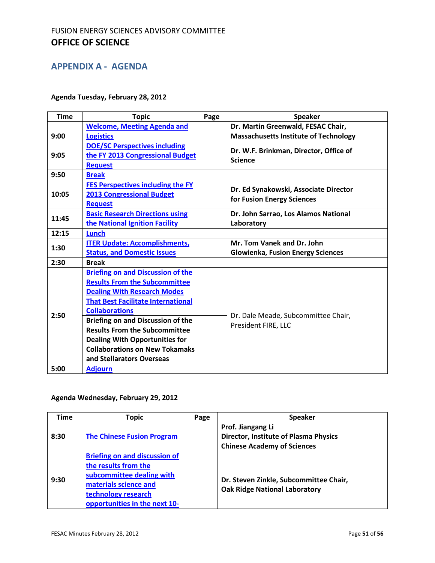#### **APPENDIX A - AGENDA**

#### **Agenda Tuesday, February 28, 2012**

| <b>Time</b> | <b>Topic</b>                              | Page | <b>Speaker</b>                                                      |
|-------------|-------------------------------------------|------|---------------------------------------------------------------------|
|             | <b>Welcome, Meeting Agenda and</b>        |      | Dr. Martin Greenwald, FESAC Chair,                                  |
| 9:00        | <b>Logistics</b>                          |      | <b>Massachusetts Institute of Technology</b>                        |
|             | <b>DOE/SC Perspectives including</b>      |      |                                                                     |
| 9:05        | the FY 2013 Congressional Budget          |      | Dr. W.F. Brinkman, Director, Office of<br><b>Science</b>            |
|             | <b>Request</b>                            |      |                                                                     |
| 9:50        | <b>Break</b>                              |      |                                                                     |
|             | <b>FES Perspectives including the FY</b>  |      |                                                                     |
| 10:05       | <b>2013 Congressional Budget</b>          |      | Dr. Ed Synakowski, Associate Director<br>for Fusion Energy Sciences |
|             | <b>Request</b>                            |      |                                                                     |
| 11:45       | <b>Basic Research Directions using</b>    |      | Dr. John Sarrao, Los Alamos National                                |
|             | the National Ignition Facility            |      | Laboratory                                                          |
| 12:15       | <b>Lunch</b>                              |      |                                                                     |
| 1:30        | <b>ITER Update: Accomplishments,</b>      |      | Mr. Tom Vanek and Dr. John                                          |
|             | <b>Status, and Domestic Issues</b>        |      | <b>Glowienka, Fusion Energy Sciences</b>                            |
| 2:30        | <b>Break</b>                              |      |                                                                     |
|             | <b>Briefing on and Discussion of the</b>  |      |                                                                     |
|             | <b>Results From the Subcommittee</b>      |      |                                                                     |
|             | <b>Dealing With Research Modes</b>        |      |                                                                     |
|             | <b>That Best Facilitate International</b> |      |                                                                     |
| 2:50        | <b>Collaborations</b>                     |      | Dr. Dale Meade, Subcommittee Chair,                                 |
|             | <b>Briefing on and Discussion of the</b>  |      | President FIRE, LLC                                                 |
|             | <b>Results From the Subcommittee</b>      |      |                                                                     |
|             | <b>Dealing With Opportunities for</b>     |      |                                                                     |
|             | <b>Collaborations on New Tokamaks</b>     |      |                                                                     |
|             | and Stellarators Overseas                 |      |                                                                     |
| 5:00        | <b>Adjourn</b>                            |      |                                                                     |

#### **Agenda Wednesday, February 29, 2012**

| <b>Time</b> | Topic                                                                                                                                                                      | Page | <b>Speaker</b>                                                                                          |
|-------------|----------------------------------------------------------------------------------------------------------------------------------------------------------------------------|------|---------------------------------------------------------------------------------------------------------|
| 8:30        | <b>The Chinese Fusion Program</b>                                                                                                                                          |      | Prof. Jiangang Li<br><b>Director, Institute of Plasma Physics</b><br><b>Chinese Academy of Sciences</b> |
| 9:30        | <b>Briefing on and discussion of</b><br>the results from the<br>subcommittee dealing with<br>materials science and<br>technology research<br>opportunities in the next 10- |      | Dr. Steven Zinkle, Subcommittee Chair,<br><b>Oak Ridge National Laboratory</b>                          |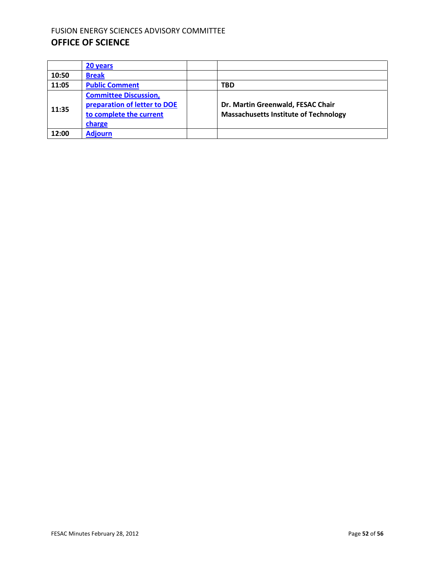|       | 20 years                                                                                          |                                                                                   |
|-------|---------------------------------------------------------------------------------------------------|-----------------------------------------------------------------------------------|
| 10:50 | <b>Break</b>                                                                                      |                                                                                   |
| 11:05 | <b>Public Comment</b>                                                                             | <b>TBD</b>                                                                        |
| 11:35 | <b>Committee Discussion,</b><br>preparation of letter to DOE<br>to complete the current<br>charge | Dr. Martin Greenwald, FESAC Chair<br><b>Massachusetts Institute of Technology</b> |
| 12:00 | <b>Adjourn</b>                                                                                    |                                                                                   |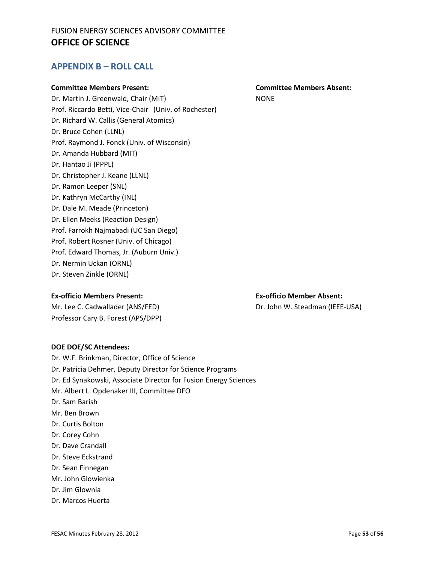#### **APPENDIX B – ROLL CALL**

#### **Committee Members Present: Committee Members Absent:**

Dr. Martin J. Greenwald, Chair (MIT) NONE Prof. Riccardo Betti, Vice-Chair (Univ. of Rochester) Dr. Richard W. Callis (General Atomics) Dr. Bruce Cohen (LLNL) Prof. Raymond J. Fonck (Univ. of Wisconsin) Dr. Amanda Hubbard (MIT) Dr. Hantao Ji (PPPL) Dr. Christopher J. Keane (LLNL) Dr. Ramon Leeper (SNL) Dr. Kathryn McCarthy (INL) Dr. Dale M. Meade (Princeton) Dr. Ellen Meeks (Reaction Design) Prof. Farrokh Najmabadi (UC San Diego) Prof. Robert Rosner (Univ. of Chicago) Prof. Edward Thomas, Jr. (Auburn Univ.) Dr. Nermin Uckan (ORNL) Dr. Steven Zinkle (ORNL)

#### **Ex-officio Members Present: Ex-officio Member Absent:**

Mr. Lee C. Cadwallader (ANS/FED) Dr. John W. Steadman (IEEE-USA) Professor Cary B. Forest (APS/DPP)

#### **DOE DOE/SC Attendees:**

Dr. W.F. Brinkman, Director, Office of Science Dr. Patricia Dehmer, Deputy Director for Science Programs Dr. Ed Synakowski, Associate Director for Fusion Energy Sciences Mr. Albert L. Opdenaker III, Committee DFO Dr. Sam Barish Mr. Ben Brown Dr. Curtis Bolton Dr. Corey Cohn Dr. Dave Crandall Dr. Steve Eckstrand Dr. Sean Finnegan Mr. John Glowienka Dr. Jim Glownia Dr. Marcos Huerta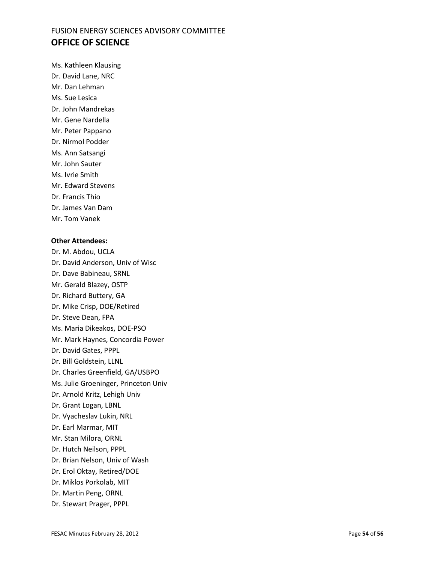Ms. Kathleen Klausing Dr. David Lane, NRC

Mr. Dan Lehman

Ms. Sue Lesica

Dr. John Mandrekas

Mr. Gene Nardella

Mr. Peter Pappano

Dr. Nirmol Podder

Ms. Ann Satsangi

Mr. John Sauter

Ms. Ivrie Smith

Mr. Edward Stevens

Dr. Francis Thio

Dr. James Van Dam

Mr. Tom Vanek

#### **Other Attendees:**

Dr. M. Abdou, UCLA Dr. David Anderson, Univ of Wisc Dr. Dave Babineau, SRNL Mr. Gerald Blazey, OSTP Dr. Richard Buttery, GA Dr. Mike Crisp, DOE/Retired Dr. Steve Dean, FPA Ms. Maria Dikeakos, DOE-PSO Mr. Mark Haynes, Concordia Power Dr. David Gates, PPPL Dr. Bill Goldstein, LLNL Dr. Charles Greenfield, GA/USBPO Ms. Julie Groeninger, Princeton Univ Dr. Arnold Kritz, Lehigh Univ Dr. Grant Logan, LBNL Dr. Vyacheslav Lukin, NRL Dr. Earl Marmar, MIT Mr. Stan Milora, ORNL Dr. Hutch Neilson, PPPL Dr. Brian Nelson, Univ of Wash Dr. Erol Oktay, Retired/DOE Dr. Miklos Porkolab, MIT Dr. Martin Peng, ORNL Dr. Stewart Prager, PPPL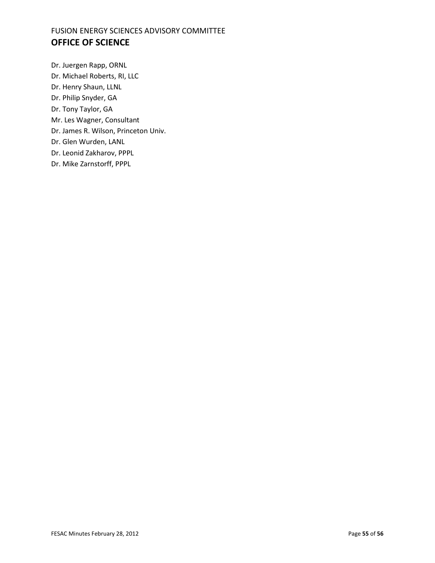Dr. Juergen Rapp, ORNL Dr. Michael Roberts, RI, LLC Dr. Henry Shaun, LLNL Dr. Philip Snyder, GA Dr. Tony Taylor, GA Mr. Les Wagner, Consultant Dr. James R. Wilson, Princeton Univ. Dr. Glen Wurden, LANL Dr. Leonid Zakharov, PPPL Dr. Mike Zarnstorff, PPPL